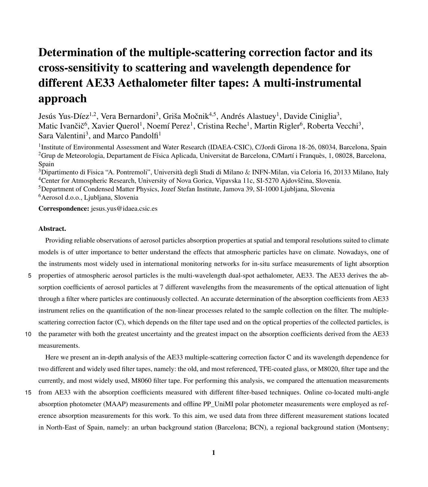# Determination of the multiple-scattering correction factor and its cross-sensitivity to scattering and wavelength dependence for different AE33 Aethalometer filter tapes: A multi-instrumental approach

Jesús Yus-Díez<sup>1,2</sup>, Vera Bernardoni<sup>3</sup>, Griša Močnik<sup>4,5</sup>, Andrés Alastuey<sup>1</sup>, Davide Ciniglia<sup>3</sup>, Matic Ivančič<sup>6</sup>, Xavier Querol<sup>1</sup>, Noemí Perez<sup>1</sup>, Cristina Reche<sup>1</sup>, Martin Rigler<sup>6</sup>, Roberta Vecchi<sup>3</sup>, Sara Valentini<sup>3</sup>, and Marco Pandolfi<sup>1</sup>

<sup>1</sup>Institute of Environmental Assessment and Water Research (IDAEA-CSIC), C/Jordi Girona 18-26, 08034, Barcelona, Spain <sup>2</sup>Grup de Meteorologia, Departament de Física Aplicada, Universitat de Barcelona, C/Martí i Franquès, 1, 08028, Barcelona, Spain

<sup>3</sup>Dipartimento di Fisica "A. Pontremoli", Università degli Studi di Milano & INFN-Milan, via Celoria 16, 20133 Milano, Italy <sup>4</sup>Center for Atmospheric Research, University of Nova Gorica, Vipavska 11c, SI-5270 Ajdovščina, Slovenia. <sup>5</sup>Department of Condensed Matter Physics, Jozef Stefan Institute, Jamova 39, SI-1000 Ljubljana, Slovenia <sup>6</sup>Aerosol d.o.o., Ljubljana, Slovenia

Correspondence: jesus.yus@idaea.csic.es

# Abstract.

Providing reliable observations of aerosol particles absorption properties at spatial and temporal resolutions suited to climate models is of utter importance to better understand the effects that atmospheric particles have on climate. Nowadays, one of the instruments most widely used in international monitoring networks for in-situ surface measurements of light absorption

- 5 properties of atmospheric aerosol particles is the multi-wavelength dual-spot aethalometer, AE33. The AE33 derives the absorption coefficients of aerosol particles at 7 different wavelengths from the measurements of the optical attenuation of light through a filter where particles are continuously collected. An accurate determination of the absorption coefficients from AE33 instrument relies on the quantification of the non-linear processes related to the sample collection on the filter. The multiplescattering correction factor (C), which depends on the filter tape used and on the optical properties of the collected particles, is
- 10 the parameter with both the greatest uncertainty and the greatest impact on the absorption coefficients derived from the AE33 measurements.

Here we present an in-depth analysis of the AE33 multiple-scattering correction factor C and its wavelength dependence for two different and widely used filter tapes, namely: the old, and most referenced, TFE-coated glass, or M8020, filter tape and the currently, and most widely used, M8060 filter tape. For performing this analysis, we compared the attenuation measurements

15 from AE33 with the absorption coefficients measured with different filter-based techniques. Online co-located multi-angle absorption photometer (MAAP) measurements and offline PP\_UniMI polar photometer measurements were employed as reference absorption measurements for this work. To this aim, we used data from three different measurement stations located in North-East of Spain, namely: an urban background station (Barcelona; BCN), a regional background station (Montseny;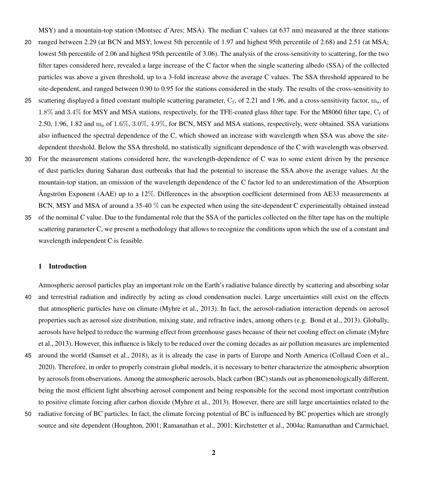MSY) and a mountain-top station (Montsec d'Ares; MSA). The median C values (at 637 nm) measured at the three stations

- 20 ranged between 2.29 (at BCN and MSY; lowest 5th percentile of 1.97 and highest 95th percentile of 2.68) and 2.51 (at MSA; lowest 5th percentile of 2.06 and highest 95th percentile of 3.06). The analysis of the cross-sensitivity to scattering, for the two filter tapes considered here, revealed a large increase of the C factor when the single scattering albedo (SSA) of the collected particles was above a given threshold, up to a 3-fold increase above the average C values. The SSA threshold appeared to be site-dependent, and ranged between 0.90 to 0.95 for the stations considered in the study. The results of the cross-sensitivity to
- 25 scattering displayed a fitted constant multiple scattering parameter,  $C_f$ , of 2.21 and 1.96, and a cross-sensitivity factor, m., of 1.8% and 3.4% for MSY and MSA stations, respectively, for the TFE-coated glass filter tape. For the M8060 filter tape,  $C_f$  of 2.50, 1.96, 1.82 and m<sup>s</sup> of 1.6%, 3.0%, 4.9%, for BCN, MSY and MSA stations, respectively, were obtained. SSA variations also influenced the spectral dependence of the C, which showed an increase with wavelength when SSA was above the sitedependent threshold. Below the SSA threshold, no statistically significant dependence of the C with wavelength was observed.
- 30 For the measurement stations considered here, the wavelength-dependence of C was to some extent driven by the presence of dust particles during Saharan dust outbreaks that had the potential to increase the SSA above the average values. At the mountain-top station, an omission of the wavelength dependence of the C factor led to an underestimation of the Absorption Ångström Exponent (AAE) up to a 12%. Differences in the absorption coefficient determined from AE33 measurements at BCN, MSY and MSA of around a 35-40 % can be expected when using the site-dependent C experimentally obtained instead
- 35 of the nominal C value. Due to the fundamental role that the SSA of the particles collected on the filter tape has on the multiple scattering parameter C, we present a methodology that allows to recognize the conditions upon which the use of a constant and wavelength independent C is feasible.

# 1 Introduction

Atmospheric aerosol particles play an important role on the Earth's radiative balance directly by scattering and absorbing solar 40 and terrestrial radiation and indirectly by acting as cloud condensation nuclei. Large uncertainties still exist on the effects that atmospheric particles have on climate [\(Myhre et al., 2013\)](#page-29-0). In fact, the aerosol-radiation interaction depends on aerosol properties such as aerosol size distribution, mixing state, and refractive index, among others (e.g. [Bond et al., 2013\)](#page-25-0). Globally, [a](#page-29-0)erosols have helped to reduce the warming effect from greenhouse gases because of their net cooling effect on climate [\(Myhre](#page-29-0) [et al., 2013\)](#page-29-0). However, this influence is likely to be reduced over the coming decades as air pollution measures are implemented

- 45 around the world [\(Samset et al., 2018\)](#page-31-0), as it is already the case in parts of Europe and North America [\(Collaud Coen et al.,](#page-26-0) [2020\)](#page-26-0). Therefore, in order to properly constrain global models, it is necessary to better characterize the atmospheric absorption by aerosols from observations. Among the atmospheric aerosols, black carbon (BC) stands out as phenomenologically different, being the most efficient light absorbing aerosol component and being responsible for the second most important contribution to positive climate forcing after carbon dioxide [\(Myhre et al., 2013\)](#page-29-0). However, there are still large uncertainties related to the
- 50 radiative forcing of BC particles. In fact, the climate forcing potential of BC is influenced by BC properties which are strongly source and site dependent [\(Houghton, 2001;](#page-28-0) [Ramanathan et al., 2001;](#page-31-1) [Kirchstetter et al., 2004a;](#page-28-1) [Ramanathan and Carmichael,](#page-31-2)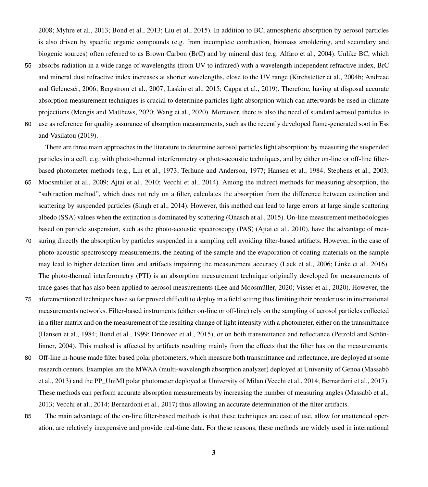[2008;](#page-31-2) [Myhre et al., 2013;](#page-29-0) [Bond et al., 2013;](#page-25-0) [Liu et al., 2015\)](#page-29-1). In addition to BC, atmospheric absorption by aerosol particles is also driven by specific organic compounds (e.g. from incomplete combustion, biomass smoldering, and secondary and biogenic sources) often referred to as Brown Carbon (BrC) and by mineral dust (e.g. [Alfaro et al., 2004\)](#page-25-1). Unlike BC, which

55 absorbs radiation in a wide range of wavelengths (from UV to infrared) with a wavelength independent refractive index, BrC [a](#page-25-2)nd mineral dust refractive index increases at shorter wavelengths, close to the UV range [\(Kirchstetter et al., 2004b;](#page-28-2) [Andreae](#page-25-2) [and Gelencsér, 2006;](#page-25-2) [Bergstrom et al., 2007;](#page-25-3) [Laskin et al., 2015;](#page-29-2) [Cappa et al., 2019\)](#page-25-4). Therefore, having at disposal accurate absorption measurement techniques is crucial to determine particles light absorption which can afterwards be used in climate projections [\(Mengis and Matthews, 2020;](#page-29-3) [Wang et al., 2020\)](#page-33-0). Moreover, there is also the need of standard aerosol particles to 60 [u](#page-27-0)se as reference for quality assurance of absorption measurements, such as the recently developed flame-generated soot in [Ess](#page-27-0) [and Vasilatou](#page-27-0) [\(2019\)](#page-27-0).

There are three main approaches in the literature to determine aerosol particles light absorption: by measuring the suspended particles in a cell, e.g. with photo-thermal interferometry or photo-acoustic techniques, and by either on-line or off-line filterbased photometer methods (e.g., [Lin et al., 1973;](#page-29-4) [Terhune and Anderson, 1977;](#page-32-0) [Hansen et al., 1984;](#page-28-3) [Stephens et al., 2003;](#page-32-1)

- 65 [Moosmüller et al., 2009;](#page-29-5) [Ajtai et al., 2010;](#page-25-5) [Vecchi et al., 2014\)](#page-32-2). Among the indirect methods for measuring absorption, the "subtraction method", which does not rely on a filter, calculates the absorption from the difference between extinction and scattering by suspended particles [\(Singh et al., 2014\)](#page-32-3). However, this method can lead to large errors at large single scattering albedo (SSA) values when the extinction is dominated by scattering [\(Onasch et al., 2015\)](#page-30-0). On-line measurement methodologies based on particle suspension, such as the photo-acoustic spectroscopy (PAS) [\(Ajtai et al., 2010\)](#page-25-5), have the advantage of mea-
- 70 suring directly the absorption by particles suspended in a sampling cell avoiding filter-based artifacts. However, in the case of photo-acoustic spectroscopy measurements, the heating of the sample and the evaporation of coating materials on the sample may lead to higher detection limit and artifacts impairing the measurement accuracy [\(Lack et al., 2006;](#page-28-4) [Linke et al., 2016\)](#page-29-6). The photo-thermal interferometry (PTI) is an absorption measurement technique originally developed for measurements of trace gases that has also been applied to aerosol measurements [\(Lee and Moosmüller, 2020;](#page-29-7) [Visser et al., 2020\)](#page-33-1). However, the
- 75 aforementioned techniques have so far proved difficult to deploy in a field setting thus limiting their broader use in international measurements networks. Filter-based instruments (either on-line or off-line) rely on the sampling of aerosol particles collected in a filter matrix and on the measurement of the resulting change of light intensity with a photometer, either on the transmittance [\(Hansen et al., 1984;](#page-28-3) [Bond et al., 1999;](#page-25-6) [Drinovec et al., 2015\)](#page-27-1), or on both transmittance and reflectance [\(Petzold and Schön](#page-30-1)[linner, 2004\)](#page-30-1). This method is affected by artifacts resulting mainly from the effects that the filter has on the measurements.
- 80 Off-line in-house made filter based polar photometers, which measure both transmittance and reflectance, are deployed at some [r](#page-29-8)esearch centers. Examples are the MWAA (multi-wavelength absorption analyzer) deployed at University of Genoa [\(Massabò](#page-29-8) [et al., 2013\)](#page-29-8) and the PP\_UniMI polar photometer deployed at University of Milan [\(Vecchi et al., 2014;](#page-32-2) [Bernardoni et al., 2017\)](#page-25-7). These methods can perform accurate absorption measurements by increasing the number of measuring angles [\(Massabò et al.,](#page-29-8) [2013;](#page-29-8) [Vecchi et al., 2014;](#page-32-2) [Bernardoni et al., 2017\)](#page-25-7) thus allowing an accurate determination of the filter artifacts.
- 85 The main advantage of the on-line filter-based methods is that these techniques are ease of use, allow for unattended operation, are relatively inexpensive and provide real-time data. For these reasons, these methods are widely used in international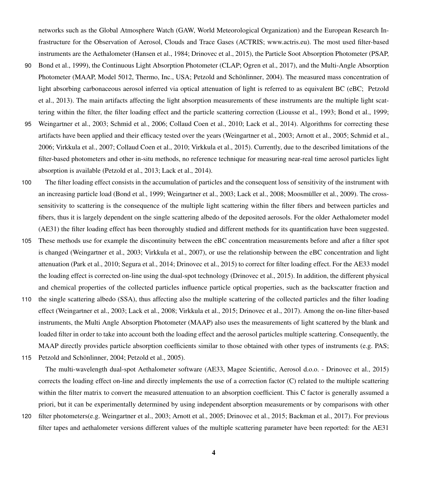networks such as the Global Atmosphere Watch (GAW, World Meteorological Organization) and the European Research Infrastructure for the Observation of Aerosol, Clouds and Trace Gases (ACTRIS; [www.actris.eu\)](www.actris.eu). The most used filter-based instruments are the Aethalometer [\(Hansen et al., 1984;](#page-28-3) [Drinovec et al., 2015\)](#page-27-1), the Particle Soot Absorption Photometer (PSAP,

- 90 [Bond et al., 1999\)](#page-25-6), the Continuous Light Absorption Photometer (CLAP; [Ogren et al., 2017\)](#page-29-9), and the Multi-Angle Absorption Photometer (MAAP, Model 5012, Thermo, Inc., USA; [Petzold and Schönlinner, 2004\)](#page-30-1). The measured mass concentration of [l](#page-30-2)ight absorbing carbonaceous aerosol inferred via optical attenuation of light is referred to as equivalent BC (eBC; [Petzold](#page-30-2) [et al., 2013\)](#page-30-2). The main artifacts affecting the light absorption measurements of these instruments are the multiple light scattering within the filter, the filter loading effect and the particle scattering correction [\(Liousse et al., 1993;](#page-29-10) [Bond et al., 1999;](#page-25-6)
- 95 [Weingartner et al., 2003;](#page-33-2) [Schmid et al., 2006;](#page-32-4) [Collaud Coen et al., 2010;](#page-26-1) [Lack et al., 2014\)](#page-28-5). Algorithms for correcting these artifacts have been applied and their efficacy tested over the years [\(Weingartner et al., 2003;](#page-33-2) [Arnott et al., 2005;](#page-25-8) [Schmid et al.,](#page-32-4) [2006;](#page-32-4) [Virkkula et al., 2007;](#page-32-5) [Collaud Coen et al., 2010;](#page-26-1) [Virkkula et al., 2015\)](#page-33-3). Currently, due to the described limitations of the filter-based photometers and other in-situ methods, no reference technique for measuring near-real time aerosol particles light absorption is available [\(Petzold et al., 2013;](#page-30-2) [Lack et al., 2014\)](#page-28-5).
- 100 The filter loading effect consists in the accumulation of particles and the consequent loss of sensitivity of the instrument with an increasing particle load [\(Bond et al., 1999;](#page-25-6) [Weingartner et al., 2003;](#page-33-2) [Lack et al., 2008;](#page-28-6) [Moosmüller et al., 2009\)](#page-29-5). The crosssensitivity to scattering is the consequence of the multiple light scattering within the filter fibers and between particles and fibers, thus it is largely dependent on the single scattering albedo of the deposited aerosols. For the older Aethalometer model (AE31) the filter loading effect has been thoroughly studied and different methods for its quantification have been suggested.
- 105 These methods use for example the discontinuity between the eBC concentration measurements before and after a filter spot is changed [\(Weingartner et al., 2003;](#page-33-2) [Virkkula et al., 2007\)](#page-32-5), or use the relationship between the eBC concentration and light attenuation [\(Park et al., 2010;](#page-30-3) [Segura et al., 2014;](#page-32-6) [Drinovec et al., 2015\)](#page-27-1) to correct for filter loading effect. For the AE33 model the loading effect is corrected on-line using the dual-spot technology [\(Drinovec et al., 2015\)](#page-27-1). In addition, the different physical and chemical properties of the collected particles influence particle optical properties, such as the backscatter fraction and
- 110 the single scattering albedo (SSA), thus affecting also the multiple scattering of the collected particles and the filter loading effect [\(Weingartner et al., 2003;](#page-33-2) [Lack et al., 2008;](#page-28-6) [Virkkula et al., 2015;](#page-33-3) [Drinovec et al., 2017\)](#page-27-2). Among the on-line filter-based instruments, the Multi Angle Absorption Photometer (MAAP) also uses the measurements of light scattered by the blank and loaded filter in order to take into account both the loading effect and the aerosol particles multiple scattering. Consequently, the MAAP directly provides particle absorption coefficients similar to those obtained with other types of instruments (e.g. PAS;
- 115 [Petzold and Schönlinner, 2004;](#page-30-1) [Petzold et al., 2005\)](#page-30-4).

The multi-wavelength dual-spot Aethalometer software (AE33, Magee Scientific, Aerosol d.o.o. - [Drinovec et al., 2015\)](#page-27-1) corrects the loading effect on-line and directly implements the use of a correction factor (C) related to the multiple scattering within the filter matrix to convert the measured attenuation to an absorption coefficient. This C factor is generally assumed a priori, but it can be experimentally determined by using independent absorption measurements or by comparisons with other

120 filter photometers(e.g. [Weingartner et al., 2003;](#page-33-2) [Arnott et al., 2005;](#page-25-8) [Drinovec et al., 2015;](#page-27-1) [Backman et al., 2017\)](#page-25-9). For previous filter tapes and aethalometer versions different values of the multiple scattering parameter have been reported: for the AE31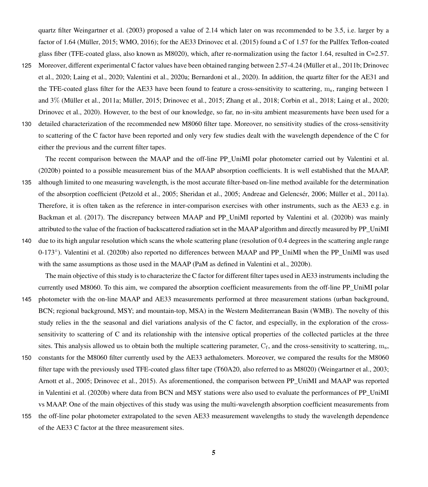quartz filter [Weingartner et al.](#page-33-2) [\(2003\)](#page-33-2) proposed a value of 2.14 which later on was recommended to be 3.5, i.e. larger by a factor of 1.64 [\(Müller, 2015;](#page-29-11) [WMO, 2016\)](#page-33-4); for the AE33 [Drinovec et al.](#page-27-1) [\(2015\)](#page-27-1) found a C of 1.57 for the Pallfex Teflon-coated glass fiber (TFE-coated glass, also known as M8020), which, after re-normalization using the factor 1.64, resulted in C=2.57.

125 [M](#page-27-3)oreover, different experimental C factor values have been obtained ranging between 2.57-4.24 [\(Müller et al., 2011b;](#page-29-12) [Drinovec](#page-27-3) [et al., 2020;](#page-27-3) [Laing et al., 2020;](#page-28-7) [Valentini et al., 2020a;](#page-32-7) [Bernardoni et al., 2020\)](#page-25-10). In addition, the quartz filter for the AE31 and the TFE-coated glass filter for the AE33 have been found to feature a cross-sensitivity to scattering, ms, ranging between 1 and 3% [\(Müller et al., 2011a;](#page-29-13) [Müller, 2015;](#page-29-11) [Drinovec et al., 2015;](#page-27-1) [Zhang et al., 2018;](#page-33-5) [Corbin et al., 2018;](#page-26-2) [Laing et al., 2020;](#page-28-7) [Drinovec et al., 2020\)](#page-27-3). However, to the best of our knowledge, so far, no in-situ ambient measurements have been used for a

130 detailed characterization of the recommended new M8060 filter tape. Moreover, no sensitivity studies of the cross-sensitivity to scattering of the C factor have been reported and only very few studies dealt with the wavelength dependence of the C for either the previous and the current filter tapes.

The recent comparison between the MAAP and the off-line PP\_UniMI polar photometer carried out by [Valentini et al.](#page-32-8) [\(2020b\)](#page-32-8) pointed to a possible measurement bias of the MAAP absorption coefficients. It is well established that the MAAP,

- 135 although limited to one measuring wavelength, is the most accurate filter-based on-line method available for the determination of the absorption coefficient [\(Petzold et al., 2005;](#page-30-4) [Sheridan et al., 2005;](#page-32-9) [Andreae and Gelencsér, 2006;](#page-25-2) [Müller et al., 2011a\)](#page-29-13). Therefore, it is often taken as the reference in inter-comparison exercises with other instruments, such as the AE33 e.g. in [Backman et al.](#page-25-9) [\(2017\)](#page-25-9). The discrepancy between MAAP and PP\_UniMI reported by [Valentini et al.](#page-32-8) [\(2020b\)](#page-32-8) was mainly attributed to the value of the fraction of backscattered radiation set in the MAAP algorithm and directly measured by PP\_UniMI
- 140 due to its high angular resolution which scans the whole scattering plane (resolution of 0.4 degrees in the scattering angle range 0-173°). [Valentini et al.](#page-32-8) [\(2020b\)](#page-32-8) also reported no differences between MAAP and PP\_UniMI when the PP\_UniMI was used with the same assumptions as those used in the MAAP (PaM as defined in [Valentini et al., 2020b\)](#page-32-8).

The main objective of this study is to characterize the C factor for different filter tapes used in AE33 instruments including the currently used M8060. To this aim, we compared the absorption coefficient measurements from the off-line PP\_UniMI polar

- 145 photometer with the on-line MAAP and AE33 measurements performed at three measurement stations (urban background, BCN; regional background, MSY; and mountain-top, MSA) in the Western Mediterranean Basin (WMB). The novelty of this study relies in the the seasonal and diel variations analysis of the C factor, and especially, in the exploration of the crosssensitivity to scattering of C and its relationship with the intensive optical properties of the collected particles at the three sites. This analysis allowed us to obtain both the multiple scattering parameter,  $C_f$ , and the cross-sensitivity to scattering,  $m_s$ ,
- 150 constants for the M8060 filter currently used by the AE33 aethalometers. Moreover, we compared the results for the M8060 filter tape with the previously used TFE-coated glass filter tape (T60A20, also referred to as M8020) [\(Weingartner et al., 2003;](#page-33-2) [Arnott et al., 2005;](#page-25-8) [Drinovec et al., 2015\)](#page-27-1). As aforementioned, the comparison between PP\_UniMI and MAAP was reported in [Valentini et al.](#page-32-8) [\(2020b\)](#page-32-8) where data from BCN and MSY stations were also used to evaluate the performances of PP\_UniMI vs MAAP. One of the main objectives of this study was using the multi-wavelength absorption coefficient measurements from
- 155 the off-line polar photometer extrapolated to the seven AE33 measurement wavelengths to study the wavelength dependence of the AE33 C factor at the three measurement sites.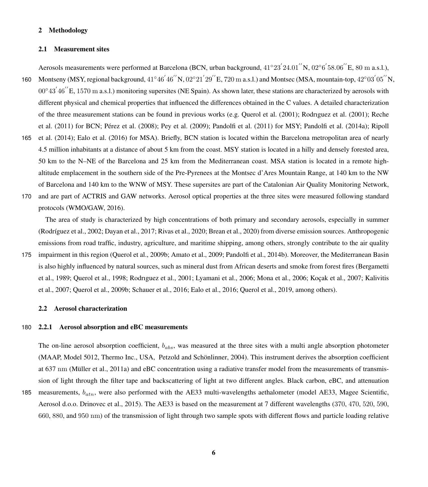# 2 Methodology

#### 2.1 Measurement sites

Aerosols measurements were performed at Barcelona (BCN, urban background,  $41°23'24.01''N$ ,  $02°6'58.06''E$ , 80 m a.s.l.),

- 160 Montseny (MSY, regional background,  $41°46'46''N$ ,  $02°21'29''E$ , 720 m a.s.l.) and Montsec (MSA, mountain-top,  $42°03'05''N$ ,  $00^{\circ}43'46''$  E, 1570 m a.s.l.) monitoring supersites (NE Spain). As shown later, these stations are characterized by aerosols with different physical and chemical properties that influenced the differences obtained in the C values. A detailed characterization [o](#page-31-4)f the three measurement stations can be found in previous works (e.g. [Querol et al.](#page-30-5) [\(2001\)](#page-30-5); [Rodrıguez et al.](#page-31-3) [\(2001\)](#page-31-3); [Reche](#page-31-4) [et al.](#page-31-4) [\(2011\)](#page-31-4) for BCN; [Pérez et al.](#page-30-6) [\(2008\)](#page-30-6); [Pey et al.](#page-30-7) [\(2009\)](#page-30-7); [Pandolfi et al.](#page-30-8) [\(2011\)](#page-30-8) for MSY; [Pandolfi et al.](#page-30-9) [\(2014a\)](#page-30-9); [Ripoll](#page-31-5)
- 165 [et al.](#page-31-5) [\(2014\)](#page-31-5); [Ealo et al.](#page-27-4) [\(2016\)](#page-27-4) for MSA). Briefly, BCN station is located within the Barcelona metropolitan area of nearly 4.5 million inhabitants at a distance of about 5 km from the coast. MSY station is located in a hilly and densely forested area, 50 km to the N–NE of the Barcelona and 25 km from the Mediterranean coast. MSA station is located in a remote highaltitude emplacement in the southern side of the Pre-Pyrenees at the Montsec d'Ares Mountain Range, at 140 km to the NW of Barcelona and 140 km to the WNW of MSY. These supersites are part of the Catalonian Air Quality Monitoring Network,
- 170 and are part of ACTRIS and GAW networks. Aerosol optical properties at the three sites were measured following standard protocols (WMO/GAW, 2016).

The area of study is characterized by high concentrations of both primary and secondary aerosols, especially in summer [\(Rodríguez et al., 2002;](#page-31-6) [Dayan et al., 2017;](#page-26-3) [Rivas et al., 2020;](#page-31-7) [Brean et al., 2020\)](#page-25-11) from diverse emission sources. Anthropogenic emissions from road traffic, industry, agriculture, and maritime shipping, among others, strongly contribute to the air quality

175 impairment in this region [\(Querol et al., 2009b;](#page-31-8) [Amato et al., 2009;](#page-25-12) [Pandolfi et al., 2014b\)](#page-30-10). Moreover, the Mediterranean Basin [i](#page-25-13)s also highly influenced by natural sources, such as mineral dust from African deserts and smoke from forest fires [\(Bergametti](#page-25-13) [et al., 1989;](#page-25-13) [Querol et al., 1998;](#page-30-11) [Rodrıguez et al., 2001;](#page-31-3) [Lyamani et al., 2006;](#page-29-14) [Mona et al., 2006;](#page-29-15) [Koçak et al., 2007;](#page-28-8) [Kalivitis](#page-28-9) [et al., 2007;](#page-28-9) [Querol et al., 2009b;](#page-31-8) [Schauer et al., 2016;](#page-32-10) [Ealo et al., 2016;](#page-27-4) [Querol et al., 2019,](#page-31-9) among others).

### 2.2 Aerosol characterization

#### 180 2.2.1 Aerosol absorption and eBC measurements

The on-line aerosol absorption coefficient,  $b_{abs}$ , was measured at the three sites with a multi angle absorption photometer (MAAP, Model 5012, Thermo Inc., USA, [Petzold and Schönlinner, 2004\)](#page-30-1). This instrument derives the absorption coefficient at 637 nm [\(Müller et al., 2011a\)](#page-29-13) and eBC concentration using a radiative transfer model from the measurements of transmission of light through the filter tape and backscattering of light at two different angles. Black carbon, eBC, and attenuation

185 measurements,  $b_{atn}$ , were also performed with the AE33 multi-wavelengths aethalometer (model AE33, Magee Scientific, Aerosol d.o.o. [Drinovec et al., 2015\)](#page-27-1). The AE33 is based on the measurement at 7 different wavelengths (370, 470, 520, 590, 660, 880, and 950 nm) of the transmission of light through two sample spots with different flows and particle loading relative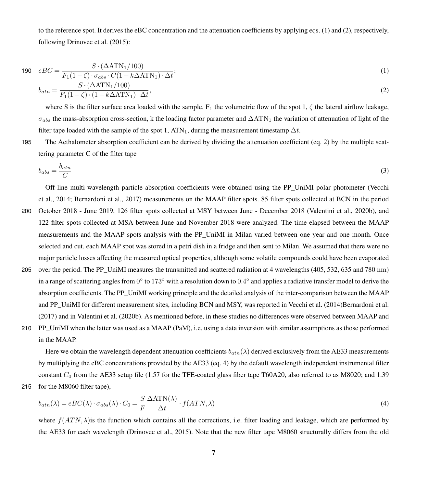to the reference spot. It derives the eBC concentration and the attenuation coefficients by applying eqs. [\(1\)](#page-6-0) and [\(2\)](#page-6-1), respectively, following [Drinovec et al.](#page-27-1) [\(2015\)](#page-27-1):

$$
190 \quad eBC = \frac{S \cdot (\Delta \text{ATN}_1/100)}{F_1(1-\zeta) \cdot \sigma_{abs} \cdot C(1 - k\Delta \text{ATN}_1) \cdot \Delta t};\tag{1}
$$

<span id="page-6-1"></span><span id="page-6-0"></span>
$$
b_{atn} = \frac{S \cdot (\Delta \text{ATN}_1/100)}{F_1(1-\zeta) \cdot (1 - k\Delta \text{ATN}_1) \cdot \Delta t},\tag{2}
$$

where S is the filter surface area loaded with the sample,  $F_1$  the volumetric flow of the spot 1,  $\zeta$  the lateral airflow leakage,  $\sigma_{abs}$  the mass-absorption cross-section, k the loading factor parameter and  $\Delta \text{ATN}_1$  the variation of attenuation of light of the filter tape loaded with the sample of the spot 1, ATN<sub>1</sub>, during the measurement timestamp  $\Delta t$ .

195 The Aethalometer absorption coefficient can be derived by dividing the attenuation coefficient (eq. [2\)](#page-6-1) by the multiple scattering parameter C of the filter tape

$$
b_{abs} = \frac{b_{atn}}{C} \tag{3}
$$

Off-line multi-wavelength particle absorption coefficients were obtained using the PP\_UniMI polar photometer [\(Vecchi](#page-32-2) [et al., 2014;](#page-32-2) [Bernardoni et al., 2017\)](#page-25-7) measurements on the MAAP filter spots. 85 filter spots collected at BCN in the period 200 October 2018 - June 2019, 126 filter spots collected at MSY between June - December 2018 [\(Valentini et al., 2020b\)](#page-32-8), and 122 filter spots collected at MSA between June and November 2018 were analyzed. The time elapsed between the MAAP measurements and the MAAP spots analysis with the PP\_UniMI in Milan varied between one year and one month. Once selected and cut, each MAAP spot was stored in a petri dish in a fridge and then sent to Milan. We assumed that there were no major particle losses affecting the measured optical properties, although some volatile compounds could have been evaporated

- 205 over the period. The PP\_UniMI measures the transmitted and scattered radiation at 4 wavelengths (405, 532, 635 and 780 nm) in a range of scattering angles from  $0^{\circ}$  to 173 $^{\circ}$  with a resolution down to  $0.4^{\circ}$  and applies a radiative transfer model to derive the absorption coefficients. The PP\_UniMI working principle and the detailed analysis of the inter-comparison between the MAAP and PP\_UniMI for different measurement sites, including BCN and MSY, was reported in [Vecchi et al.](#page-32-2) [\(2014\)](#page-32-2)[Bernardoni et al.](#page-25-7) [\(2017\)](#page-25-7) and in [Valentini et al.](#page-32-8) [\(2020b\)](#page-32-8). As mentioned before, in these studies no differences were observed between MAAP and
- 210 PP\_UniMI when the latter was used as a MAAP (PaM), i.e. using a data inversion with similar assumptions as those performed in the MAAP.

Here we obtain the wavelength dependent attenuation coefficients  $b_{atn}(\lambda)$  derived exclusively from the AE33 measurements by multiplying the eBC concentrations provided by the AE33 (eq. [4\)](#page-6-2) by the default wavelength independent instrumental filter constant  $C_0$  from the AE33 setup file (1.57 for the TFE-coated glass fiber tape T60A20, also referred to as M8020; and 1.39 215 for the M8060 filter tape),

<span id="page-6-2"></span>
$$
b_{atn}(\lambda) = eBC(\lambda) \cdot \sigma_{abs}(\lambda) \cdot C_0 = \frac{S}{F} \frac{\Delta \text{ATN}(\lambda)}{\Delta t} \cdot f(ATN, \lambda)
$$
\n(4)

where  $f(ATN, \lambda)$  is the function which contains all the corrections, i.e. filter loading and leakage, which are performed by the AE33 for each wavelength [\(Drinovec et al., 2015\)](#page-27-1). Note that the new filter tape M8060 structurally differs from the old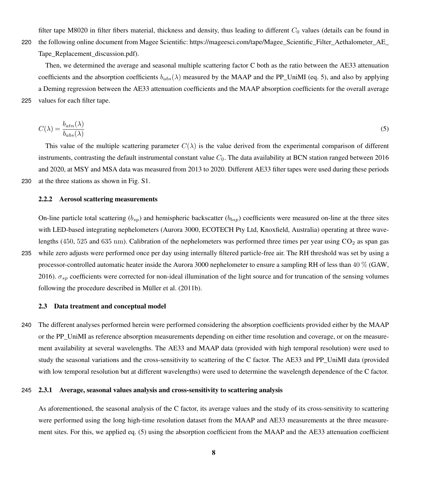filter tape M8020 in filter fibers material, thickness and density, thus leading to different  $C_0$  values (details can be found in

220 [t](https://mageesci.com/tape/Magee_Scientific_Filter_Aethalometer_AE_Tape_Replacement_discussion.pdf)he following online document from Magee Scientific: https://mageesci.com/tape/Magee\_Scientific\_Filter\_Aethalometer\_AE Tape Replacement discussion.pdf).

Then, we determined the average and seasonal multiple scattering factor C both as the ratio between the AE33 attenuation coefficients and the absorption coefficients  $b_{abs}(\lambda)$  measured by the MAAP and the PP\_UniMI (eq. [5\)](#page-7-0), and also by applying a Deming regression between the AE33 attenuation coefficients and the MAAP absorption coefficients for the overall average 225 values for each filter tape.

<span id="page-7-0"></span>
$$
C(\lambda) = \frac{b_{atn}(\lambda)}{b_{abs}(\lambda)}\tag{5}
$$

This value of the multiple scattering parameter  $C(\lambda)$  is the value derived from the experimental comparison of different instruments, contrasting the default instrumental constant value  $C_0$ . The data availability at BCN station ranged between 2016 and 2020, at MSY and MSA data was measured from 2013 to 2020. Different AE33 filter tapes were used during these periods 230 at the three stations as shown in Fig. S1.

# 2.2.2 Aerosol scattering measurements

On-line particle total scattering  $(b_{sp})$  and hemispheric backscatter  $(b_{bsp})$  coefficients were measured on-line at the three sites with LED-based integrating nephelometers (Aurora 3000, ECOTECH Pty Ltd, Knoxfield, Australia) operating at three wavelengths (450, 525 and 635 nm). Calibration of the nephelometers was performed three times per year using  $CO<sub>2</sub>$  as span gas 235 while zero adjusts were performed once per day using internally filtered particle-free air. The RH threshold was set by using a processor-controlled automatic heater inside the Aurora 3000 nephelometer to ensure a sampling RH of less than 40 % [\(GAW,](#page-27-5) [2016\)](#page-27-5).  $\sigma_{sp}$  coefficients were corrected for non-ideal illumination of the light source and for truncation of the sensing volumes following the procedure described in [Müller et al.](#page-29-12) [\(2011b\)](#page-29-12).

#### 2.3 Data treatment and conceptual model

240 The different analyses performed herein were performed considering the absorption coefficients provided either by the MAAP or the PP\_UniMI as reference absorption measurements depending on either time resolution and coverage, or on the measurement availability at several wavelengths. The AE33 and MAAP data (provided with high temporal resolution) were used to study the seasonal variations and the cross-sensitivity to scattering of the C factor. The AE33 and PP\_UniMI data (provided with low temporal resolution but at different wavelengths) were used to determine the wavelength dependence of the C factor.

### <span id="page-7-1"></span>245 2.3.1 Average, seasonal values analysis and cross-sensitivity to scattering analysis

As aforementioned, the seasonal analysis of the C factor, its average values and the study of its cross-sensitivity to scattering were performed using the long high-time resolution dataset from the MAAP and AE33 measurements at the three measurement sites. For this, we applied eq. [\(5\)](#page-7-0) using the absorption coefficient from the MAAP and the AE33 attenuation coefficient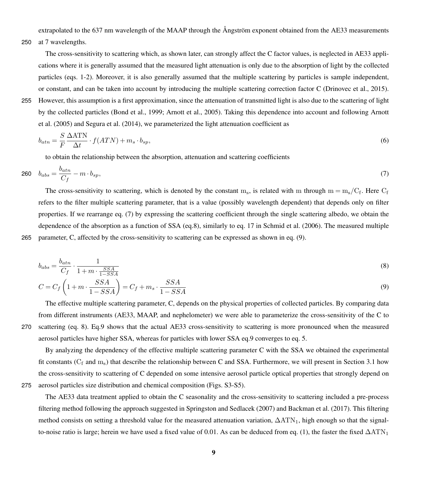extrapolated to the 637 nm wavelength of the MAAP through the Ångström exponent obtained from the AE33 measurements

250 at 7 wavelengths.

The cross-sensitivity to scattering which, as shown later, can strongly affect the C factor values, is neglected in AE33 applications where it is generally assumed that the measured light attenuation is only due to the absorption of light by the collected particles (eqs. [1](#page-6-0)[-2\)](#page-6-1). Moreover, it is also generally assumed that the multiple scattering by particles is sample independent, or constant, and can be taken into account by introducing the multiple scattering correction factor C [\(Drinovec et al., 2015\)](#page-27-1).

255 However, this assumption is a first approximation, since the attenuation of transmitted light is also due to the scattering of light [b](#page-25-8)y the collected particles [\(Bond et al., 1999;](#page-25-6) [Arnott et al., 2005\)](#page-25-8). Taking this dependence into account and following [Arnott](#page-25-8) [et al.](#page-25-8) [\(2005\)](#page-25-8) and [Segura et al.](#page-32-6) [\(2014\)](#page-32-6), we parameterized the light attenuation coefficient as

$$
b_{atn} = \frac{S}{F} \frac{\Delta \text{ATN}}{\Delta t} \cdot f(ATN) + m_s \cdot b_{sp},\tag{6}
$$

<span id="page-8-0"></span>to obtain the relationship between the absorption, attenuation and scattering coefficients

$$
260 \t b_{abs} = \frac{b_{atn}}{C_f} - m \cdot b_{sp},\tag{7}
$$

The cross-sensitivity to scattering, which is denoted by the constant  $m_s$ , is related with m through  $m = m_s/C_f$ . Here  $C_f$ refers to the filter multiple scattering parameter, that is a value (possibly wavelength dependent) that depends only on filter properties. If we rearrange eq. [\(7\)](#page-8-0) by expressing the scattering coefficient through the single scattering albedo, we obtain the dependence of the absorption as a function of SSA (eq[.8\)](#page-8-1), similarly to eq. 17 in [Schmid et al.](#page-32-4) [\(2006\)](#page-32-4). The measured multiple 265 parameter, C, affected by the cross-sensitivity to scattering can be expressed as shown in eq. [\(9\)](#page-8-2).

<span id="page-8-1"></span>
$$
b_{abs} = \frac{b_{atn}}{C_f} \cdot \frac{1}{1 + m \cdot \frac{SSA}{1 - SSA}}\tag{8}
$$

<span id="page-8-2"></span>
$$
C = C_f \left( 1 + m \cdot \frac{SSA}{1 - SSA} \right) = C_f + m_s \cdot \frac{SSA}{1 - SSA} \tag{9}
$$

The effective multiple scattering parameter, C, depends on the physical properties of collected particles. By comparing data from different instruments (AE33, MAAP, and nephelometer) we were able to parameterize the cross-sensitivity of the C to 270 scattering (eq. [8\)](#page-8-1). Eq[.9](#page-8-2) shows that the actual AE33 cross-sensitivity to scattering is more pronounced when the measured aerosol particles have higher SSA, whereas for particles with lower SSA eq[.9](#page-8-2) converges to eq. [5.](#page-7-0)

By analyzing the dependency of the effective multiple scattering parameter C with the SSA we obtained the experimental fit constants ( $C_f$  and  $m_s$ ) that describe the relationship between C and SSA. Furthermore, we will present in Section [3.1](#page-9-0) how the cross-sensitivity to scattering of C depended on some intensive aerosol particle optical properties that strongly depend on 275 aerosol particles size distribution and chemical composition (Figs. S3-S5).

The AE33 data treatment applied to obtain the C seasonality and the cross-sensitivity to scattering included a pre-process filtering method following the approach suggested in [Springston and Sedlacek](#page-32-11) [\(2007\)](#page-32-11) and [Backman et al.](#page-25-9) [\(2017\)](#page-25-9). This filtering method consists on setting a threshold value for the measured attenuation variation,  $\Delta ATN_1$ , high enough so that the signal-to-noise ratio is large; herein we have used a fixed value of 0.01. As can be deduced from eq. [\(1\)](#page-6-0), the faster the fixed  $\Delta ATN_1$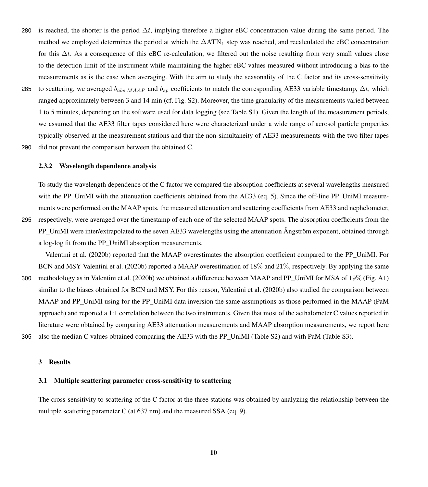- 280 is reached, the shorter is the period  $\Delta t$ , implying therefore a higher eBC concentration value during the same period. The method we employed determines the period at which the  $\Delta A T N_1$  step was reached, and recalculated the eBC concentration for this  $\Delta t$ . As a consequence of this eBC re-calculation, we filtered out the noise resulting from very small values close to the detection limit of the instrument while maintaining the higher eBC values measured without introducing a bias to the measurements as is the case when averaging. With the aim to study the seasonality of the C factor and its cross-sensitivity
- 285 to scattering, we averaged  $b_{abs,MAP}$  and  $b_{sp}$  coefficients to match the corresponding AE33 variable timestamp,  $\Delta t$ , which ranged approximately between 3 and 14 min (cf. Fig. S2). Moreover, the time granularity of the measurements varied between 1 to 5 minutes, depending on the software used for data logging (see Table S1). Given the length of the measurement periods, we assumed that the AE33 filter tapes considered here were characterized under a wide range of aerosol particle properties typically observed at the measurement stations and that the non-simultaneity of AE33 measurements with the two filter tapes 290 did not prevent the comparison between the obtained C.
- 

#### 2.3.2 Wavelength dependence analysis

To study the wavelength dependence of the C factor we compared the absorption coefficients at several wavelengths measured with the PP\_UniMI with the attenuation coefficients obtained from the AE33 (eq. [5\)](#page-7-0). Since the off-line PP\_UniMI measurements were performed on the MAAP spots, the measured attenuation and scattering coefficients from AE33 and nephelometer, 295 respectively, were averaged over the timestamp of each one of the selected MAAP spots. The absorption coefficients from the PP\_UniMI were inter/extrapolated to the seven AE33 wavelengths using the attenuation Ångström exponent, obtained through a log-log fit from the PP\_UniMI absorption measurements.

[Valentini et al.](#page-32-8) [\(2020b\)](#page-32-8) reported that the MAAP overestimates the absorption coefficient compared to the PP\_UniMI. For BCN and MSY [Valentini et al.](#page-32-8) [\(2020b\)](#page-32-8) reported a MAAP overestimation of 18% and 21%, respectively. By applying the same 300 methodology as in [Valentini et al.](#page-32-8) [\(2020b\)](#page-32-8) we obtained a difference between MAAP and PP\_UniMI for MSA of 19% (Fig. [A1\)](#page-24-0) similar to the biases obtained for BCN and MSY. For this reason, [Valentini et al.](#page-32-8) [\(2020b\)](#page-32-8) also studied the comparison between MAAP and PP\_UniMI using for the PP\_UniMI data inversion the same assumptions as those performed in the MAAP (PaM approach) and reported a 1:1 correlation between the two instruments. Given that most of the aethalometer C values reported in literature were obtained by comparing AE33 attenuation measurements and MAAP absorption measurements, we report here 305 also the median C values obtained comparing the AE33 with the PP\_UniMI (Table S2) and with PaM (Table S3).

3 Results

#### <span id="page-9-0"></span>3.1 Multiple scattering parameter cross-sensitivity to scattering

The cross-sensitivity to scattering of the C factor at the three stations was obtained by analyzing the relationship between the multiple scattering parameter C (at 637 nm) and the measured SSA (eq. [9\)](#page-8-2).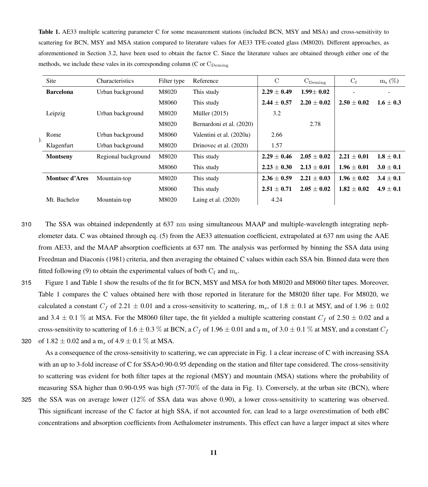<span id="page-10-0"></span>Table 1. AE33 multiple scattering parameter C for some measurement stations (included BCN, MSY and MSA) and cross-sensitivity to scattering for BCN, MSY and MSA station compared to literature values for AE33 TFE-coated glass (M8020). Different approaches, as aforementioned in Section [3.2,](#page-11-0) have been used to obtain the factor C. Since the literature values are obtained through either one of the methods, we include these vales in its corresponding column (C or  $C_{\text{Demino}}$ )

|  | Site                  | Characteristics     | Filter type | Reference                | $\mathcal{C}$   | $C_{\text{Deming}}$ | $C_f$           | $m_s$ $(\%)$  |
|--|-----------------------|---------------------|-------------|--------------------------|-----------------|---------------------|-----------------|---------------|
|  | <b>Barcelona</b>      | Urban background    | M8020       | This study               | $2.29 \pm 0.49$ | $1.99 + 0.02$       |                 |               |
|  |                       |                     | M8060       | This study               | $2.44 \pm 0.57$ | $2.20 + 0.02$       | $2.50 \pm 0.02$ | $1.6 \pm 0.3$ |
|  | Leipzig               | Urban background    | M8020       | Müller $(2015)$          | 3.2             |                     |                 |               |
|  |                       |                     | M8020       | Bernardoni et al. (2020) |                 | 2.78                |                 |               |
|  | Rome                  | Urban background    | M8060       | Valentini et al. (2020a) | 2.66            |                     |                 |               |
|  | Klagenfurt            | Urban background    | M8020       | Drinovec et al. (2020)   | 1.57            |                     |                 |               |
|  | <b>Montseny</b>       | Regional background | M8020       | This study               | $2.29 + 0.46$   | $2.05 + 0.02$       | $2.21 + 0.01$   | $1.8 + 0.1$   |
|  |                       |                     | M8060       | This study               | $2.23 \pm 0.30$ | $2.13 + 0.01$       | $1.96 + 0.01$   | $3.0 \pm 0.1$ |
|  | <b>Montsec d'Ares</b> | Mountain-top        | M8020       | This study               | $2.36 \pm 0.59$ | $2.21 \pm 0.03$     | $1.96 \pm 0.02$ | $3.4 \pm 0.1$ |
|  |                       |                     | M8060       | This study               | $2.51 \pm 0.71$ | $2.05 + 0.02$       | $1.82 + 0.02$   | $4.9 \pm 0.1$ |
|  | Mt. Bachelor          | Mountain-top        | M8020       | Laing et al. $(2020)$    | 4.24            |                     |                 |               |

- 310 The SSA was obtained independently at 637 nm using simultaneous MAAP and multiple-wavelength integrating nephelometer data. C was obtained through eq. [\(5\)](#page-7-0) from the AE33 attenuation coefficient, extrapolated at 637 nm using the AAE from AE33, and the MAAP absorption coefficients at 637 nm. The analysis was performed by binning the SSA data using [Freedman and Diaconis](#page-27-6) [\(1981\)](#page-27-6) criteria, and then averaging the obtained C values within each SSA bin. Binned data were then fitted following [\(9\)](#page-8-2) to obtain the experimental values of both  $C_f$  and  $m_s$ .
- 315 Figure [1](#page-12-0) and Table [1](#page-10-0) show the results of the fit for BCN, MSY and MSA for both M8020 and M8060 filter tapes. Moreover, Table [1](#page-10-0) compares the C values obtained here with those reported in literature for the M8020 filter tape. For M8020, we calculated a constant  $C_f$  of 2.21  $\pm$  0.01 and a cross-sensitivity to scattering, m<sub>s</sub>, of 1.8  $\pm$  0.1 at MSY, and of 1.96  $\pm$  0.02 and 3.4  $\pm$  0.1 % at MSA. For the M8060 filter tape, the fit yielded a multiple scattering constant  $C_f$  of 2.50  $\pm$  0.02 and a cross-sensitivity to scattering of 1.6  $\pm$  0.3 % at BCN, a  $C_f$  of 1.96  $\pm$  0.01 and a m<sub>s</sub> of 3.0  $\pm$  0.1 % at MSY, and a constant  $C_f$ 320 of  $1.82 \pm 0.02$  and a m<sub>s</sub> of  $4.9 \pm 0.1$  % at MSA.

As a consequence of the cross-sensitivity to scattering, we can appreciate in Fig. [1](#page-12-0) a clear increase of C with increasing SSA with an up to 3-fold increase of C for SSA>0.90-0.95 depending on the station and filter tape considered. The cross-sensitivity to scattering was evident for both filter tapes at the regional (MSY) and mountain (MSA) stations where the probability of measuring SSA higher than 0.90-0.95 was high (57-70% of the data in Fig. [1\)](#page-12-0). Conversely, at the urban site (BCN), where

325 the SSA was on average lower (12% of SSA data was above 0.90), a lower cross-sensitivity to scattering was observed. This significant increase of the C factor at high SSA, if not accounted for, can lead to a large overestimation of both eBC concentrations and absorption coefficients from Aethalometer instruments. This effect can have a larger impact at sites where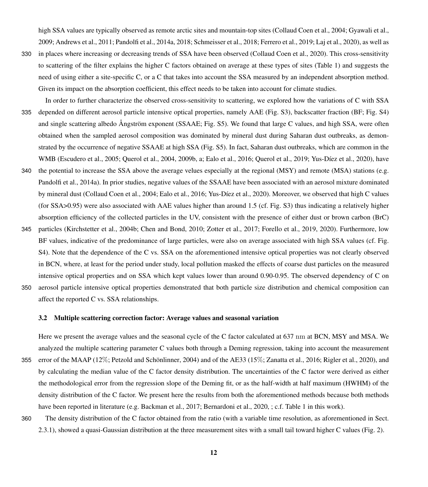high SSA values are typically observed as remote arctic sites and mountain-top sites [\(Collaud Coen et al., 2004;](#page-26-4) [Gyawali et al.,](#page-27-7) [2009;](#page-27-7) [Andrews et al., 2011;](#page-25-14) [Pandolfi et al., 2014a,](#page-30-9) [2018;](#page-30-12) [Schmeisser et al., 2018;](#page-32-12) [Ferrero et al., 2019;](#page-27-8) [Laj et al., 2020\)](#page-28-10), as well as

- 330 in places where increasing or decreasing trends of SSA have been observed [\(Collaud Coen et al., 2020\)](#page-26-5). This cross-sensitivity to scattering of the filter explains the higher C factors obtained on average at these types of sites (Table [1\)](#page-10-0) and suggests the need of using either a site-specific C, or a C that takes into account the SSA measured by an independent absorption method. Given its impact on the absorption coefficient, this effect needs to be taken into account for climate studies.
- In order to further characterize the observed cross-sensitivity to scattering, we explored how the variations of C with SSA 335 depended on different aerosol particle intensive optical properties, namely AAE (Fig. S3), backscatter fraction (BF; Fig. S4) and single scattering albedo Ångström exponent (SSAAE; Fig. S5). We found that large C values, and high SSA, were often obtained when the sampled aerosol composition was dominated by mineral dust during Saharan dust outbreaks, as demonstrated by the occurrence of negative SSAAE at high SSA (Fig. S5). In fact, Saharan dust outbreaks, which are common in the WMB [\(Escudero et al., 2005;](#page-27-9) [Querol et al., 2004,](#page-31-10) [2009b,](#page-31-8) [a;](#page-31-11) [Ealo et al., 2016;](#page-27-4) [Querol et al., 2019;](#page-31-9) [Yus-Díez et al., 2020\)](#page-33-6), have
- 340 the potential to increase the SSA above the average velues especially at the regional (MSY) and remote (MSA) stations (e.g. Pandolfi et al., 2014a). In prior studies, negative values of the SSAAE have been associated with an aerosol mixture dominated by mineral dust [\(Collaud Coen et al., 2004;](#page-26-4) [Ealo et al., 2016;](#page-27-4) [Yus-Díez et al., 2020\)](#page-33-6). Moreover, we observed that high C values (for SSA>0.95) were also associated with AAE values higher than around 1.5 (cf. Fig. S3) thus indicating a relatively higher absorption efficiency of the collected particles in the UV, consistent with the presence of either dust or brown carbon (BrC)
- 345 particles [\(Kirchstetter et al., 2004b;](#page-28-2) [Chen and Bond, 2010;](#page-26-6) [Zotter et al., 2017;](#page-33-7) [Forello et al., 2019,](#page-27-10) [2020\)](#page-27-11). Furthermore, low BF values, indicative of the predominance of large particles, were also on average associated with high SSA values (cf. Fig. S4). Note that the dependence of the C vs. SSA on the aforementioned intensive optical properties was not clearly observed in BCN, where, at least for the period under study, local pollution masked the effects of coarse dust particles on the measured intensive optical properties and on SSA which kept values lower than around 0.90-0.95. The observed dependency of C on 350 aerosol particle intensive optical properties demonstrated that both particle size distribution and chemical composition can
	- affect the reported C vs. SSA relationships.

#### <span id="page-11-0"></span>3.2 Multiple scattering correction factor: Average values and seasonal variation

Here we present the average values and the seasonal cycle of the C factor calculated at 637 nm at BCN, MSY and MSA. We analyzed the multiple scattering parameter C values both through a Deming regression, taking into account the measurement 355 error of the MAAP (12%; [Petzold and Schönlinner, 2004\)](#page-30-1) and of the AE33 (15%; [Zanatta et al., 2016;](#page-33-8) [Rigler et al., 2020\)](#page-31-12), and by calculating the median value of the C factor density distribution. The uncertainties of the C factor were derived as either the methodological error from the regression slope of the Deming fit, or as the half-width at half maximum (HWHM) of the density distribution of the C factor. We present here the results from both the aforementioned methods because both methods have been reported in literature (e.g. [Backman et al., 2017;](#page-25-9) [Bernardoni et al., 2020,](#page-25-10) ; c.f. Table [1](#page-10-0) in this work).

360 The density distribution of the C factor obtained from the ratio (with a variable time resolution, as aforementioned in Sect. [2.3.1\)](#page-7-1), showed a quasi-Gaussian distribution at the three measurement sites with a small tail toward higher C values (Fig. [2\)](#page-13-0).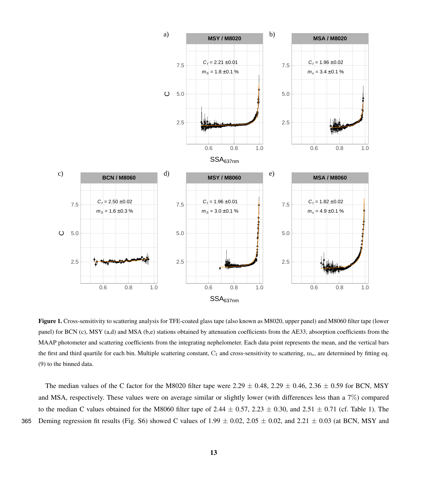<span id="page-12-0"></span>

Figure 1. Cross-sensitivity to scattering analysis for TFE-coated glass tape (also known as M8020, upper panel) and M8060 filter tape (lower panel) for BCN (c), MSY (a,d) and MSA (b,e) stations obtained by attenuation coefficients from the AE33, absorption coefficients from the MAAP photometer and scattering coefficients from the integrating nephelometer. Each data point represents the mean, and the vertical bars the first and third quartile for each bin. Multiple scattering constant,  $C_f$  and cross-sensitivity to scattering,  $m_s$ , are determined by fitting eq. [\(9\)](#page-8-2) to the binned data.

The median values of the C factor for the M8020 filter tape were 2.29  $\pm$  0.48, 2.29  $\pm$  0.46, 2.36  $\pm$  0.59 for BCN, MSY and MSA, respectively. These values were on average similar or slightly lower (with differences less than a 7%) compared to the median C values obtained for the M8060 filter tape of 2.44  $\pm$  0.57, 2.23  $\pm$  0.30, and 2.51  $\pm$  0.71 (cf. Table [1\)](#page-10-0). The 365 Deming regression fit results (Fig. S6) showed C values of  $1.99 \pm 0.02$ ,  $2.05 \pm 0.02$ , and  $2.21 \pm 0.03$  (at BCN, MSY and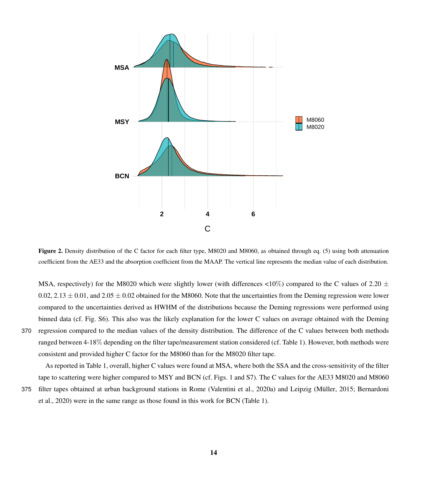<span id="page-13-0"></span>

Figure 2. Density distribution of the C factor for each filter type, M8020 and M8060, as obtained through eq. [\(5\)](#page-7-0) using both attenuation coefficient from the AE33 and the absorption coefficient from the MAAP. The vertical line represents the median value of each distribution.

MSA, respectively) for the M8020 which were slightly lower (with differences  $\langle 10\% \rangle$  compared to the C values of 2.20  $\pm$ 0.02, 2.13  $\pm$  0.01, and 2.05  $\pm$  0.02 obtained for the M8060. Note that the uncertainties from the Deming regression were lower compared to the uncertainties derived as HWHM of the distributions because the Deming regressions were performed using binned data (cf. Fig. S6). This also was the likely explanation for the lower C values on average obtained with the Deming 370 regression compared to the median values of the density distribution. The difference of the C values between both methods ranged between 4-18% depending on the filter tape/measurement station considered (cf. Table [1\)](#page-10-0). However, both methods were consistent and provided higher C factor for the M8060 than for the M8020 filter tape.

As reported in Table [1,](#page-10-0) overall, higher C values were found at MSA, where both the SSA and the cross-sensitivity of the filter tape to scattering were higher compared to MSY and BCN (cf. Figs. [1](#page-12-0) and S7). The C values for the AE33 M8020 and M8060

375 [fi](#page-25-10)lter tapes obtained at urban background stations in Rome [\(Valentini et al., 2020a\)](#page-32-7) and Leipzig [\(Müller, 2015;](#page-29-11) [Bernardoni](#page-25-10) [et al., 2020\)](#page-25-10) were in the same range as those found in this work for BCN (Table [1\)](#page-10-0).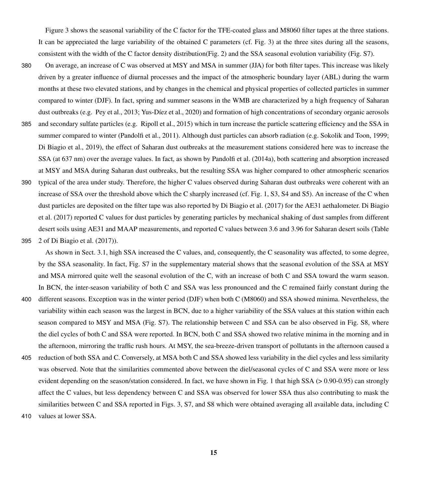Figure [3](#page-15-0) shows the seasonal variability of the C factor for the TFE-coated glass and M8060 filter tapes at the three stations. It can be appreciated the large variability of the obtained C parameters (cf. Fig. [3\)](#page-15-0) at the three sites during all the seasons, consistent with the width of the C factor density distribution(Fig. [2\)](#page-13-0) and the SSA seasonal evolution variability (Fig. S7).

380 On average, an increase of C was observed at MSY and MSA in summer (JJA) for both filter tapes. This increase was likely driven by a greater influence of diurnal processes and the impact of the atmospheric boundary layer (ABL) during the warm months at these two elevated stations, and by changes in the chemical and physical properties of collected particles in summer compared to winter (DJF). In fact, spring and summer seasons in the WMB are characterized by a high frequency of Saharan dust outbreaks (e.g. [Pey et al., 2013;](#page-30-13) [Yus-Díez et al., 2020\)](#page-33-6) and formation of high concentrations of secondary organic aerosols 385 and secondary sulfate particles (e.g. [Ripoll et al., 2015\)](#page-31-13) which in turn increase the particle scattering efficiency and the SSA in summer compared to winter [\(Pandolfi et al., 2011\)](#page-30-8). Although dust particles can absorb radiation (e.g. [Sokolik and Toon, 1999;](#page-32-13) [Di Biagio et al., 2019\)](#page-26-7), the effect of Saharan dust outbreaks at the measurement stations considered here was to increase the SSA (at 637 nm) over the average values. In fact, as shown by [Pandolfi et al.](#page-30-9) [\(2014a\)](#page-30-9), both scattering and absorption increased at MSY and MSA during Saharan dust outbreaks, but the resulting SSA was higher compared to other atmospheric scenarios 390 typical of the area under study. Therefore, the higher C values observed during Saharan dust outbreaks were coherent with an increase of SSA over the threshold above which the C sharply increased (cf. Fig. [1,](#page-12-0) S3, S4 and S5). An increase of the C when [d](#page-26-8)ust particles are deposited on the filter tape was also reported by [Di Biagio et al.](#page-26-8) [\(2017\)](#page-26-8) for the AE31 aethalometer. [Di Biagio](#page-26-8)

395 2 of [Di Biagio et al.](#page-26-8) [\(2017\)](#page-26-8)).

As shown in Sect. [3.1,](#page-9-0) high SSA increased the C values, and, consequently, the C seasonality was affected, to some degree, by the SSA seasonality. In fact, Fig. S7 in the supplementary material shows that the seasonal evolution of the SSA at MSY and MSA mirrored quite well the seasonal evolution of the C, with an increase of both C and SSA toward the warm season. In BCN, the inter-season variability of both C and SSA was less pronounced and the C remained fairly constant during the

[et al.](#page-26-8) [\(2017\)](#page-26-8) reported C values for dust particles by generating particles by mechanical shaking of dust samples from different desert soils using AE31 and MAAP measurements, and reported C values between 3.6 and 3.96 for Saharan desert soils (Table

- 400 different seasons. Exception was in the winter period (DJF) when both C (M8060) and SSA showed minima. Nevertheless, the variability within each season was the largest in BCN, due to a higher variability of the SSA values at this station within each season compared to MSY and MSA (Fig. S7). The relationship between C and SSA can be also observed in Fig. S8, where the diel cycles of both C and SSA were reported. In BCN, both C and SSA showed two relative minima in the morning and in the afternoon, mirroring the traffic rush hours. At MSY, the sea-breeze-driven transport of pollutants in the afternoon caused a
- 405 reduction of both SSA and C. Conversely, at MSA both C and SSA showed less variability in the diel cycles and less similarity was observed. Note that the similarities commented above between the diel/seasonal cycles of C and SSA were more or less evident depending on the season/station considered. In fact, we have shown in Fig. [1](#page-12-0) that high SSA (> 0.90-0.95) can strongly affect the C values, but less dependency between C and SSA was observed for lower SSA thus also contributing to mask the similarities between C and SSA reported in Figs. [3,](#page-15-0) S7, and S8 which were obtained averaging all available data, including C

<sup>410</sup> values at lower SSA.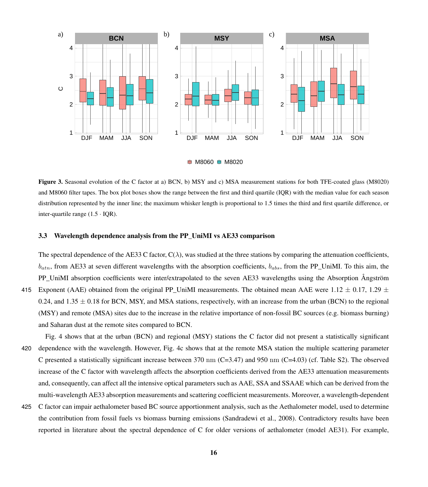<span id="page-15-0"></span>

 $\Rightarrow$  M8060  $\Rightarrow$  M8020

Figure 3. Seasonal evolution of the C factor at a) BCN, b) MSY and c) MSA measurement stations for both TFE-coated glass (M8020) and M8060 filter tapes. The box plot boxes show the range between the first and third quartile (IQR) with the median value for each season distribution represented by the inner line; the maximum whisker length is proportional to 1.5 times the third and first quartile difference, or inter-quartile range  $(1.5 \cdot IQR)$ .

# 3.3 Wavelength dependence analysis from the PP\_UniMI vs AE33 comparison

The spectral dependence of the AE33 C factor,  $C(\lambda)$ , was studied at the three stations by comparing the attenuation coefficients,  $b_{atn}$ , from AE33 at seven different wavelengths with the absorption coefficients,  $b_{abs}$ , from the PP\_UniMI. To this aim, the PP\_UniMI absorption coefficients were inter/extrapolated to the seven AE33 wavelengths using the Absorption Ångström 415 Exponent (AAE) obtained from the original PP UniMI measurements. The obtained mean AAE were 1.12  $\pm$  0.17, 1.29  $\pm$ 0.24, and 1.35  $\pm$  0.18 for BCN, MSY, and MSA stations, respectively, with an increase from the urban (BCN) to the regional (MSY) and remote (MSA) sites due to the increase in the relative importance of non-fossil BC sources (e.g. biomass burning) and Saharan dust at the remote sites compared to BCN.

- Fig. [4](#page-16-0) shows that at the urban (BCN) and regional (MSY) stations the C factor did not present a statistically significant 420 dependence with the wavelength. However, Fig. [4c](#page-16-0) shows that at the remote MSA station the multiple scattering parameter C presented a statistically significant increase between 370 nm  $(C=3.47)$  and 950 nm  $(C=4.03)$  (cf. Table S2). The observed increase of the C factor with wavelength affects the absorption coefficients derived from the AE33 attenuation measurements and, consequently, can affect all the intensive optical parameters such as AAE, SSA and SSAAE which can be derived from the multi-wavelength AE33 absorption measurements and scattering coefficient measurements. Moreover, a wavelength-dependent
- 425 C factor can impair aethalometer based BC source apportionment analysis, such as the Aethalometer model, used to determine the contribution from fossil fuels vs biomass burning emissions [\(Sandradewi et al., 2008\)](#page-31-14). Contradictory results have been reported in literature about the spectral dependence of C for older versions of aethalometer (model AE31). For example,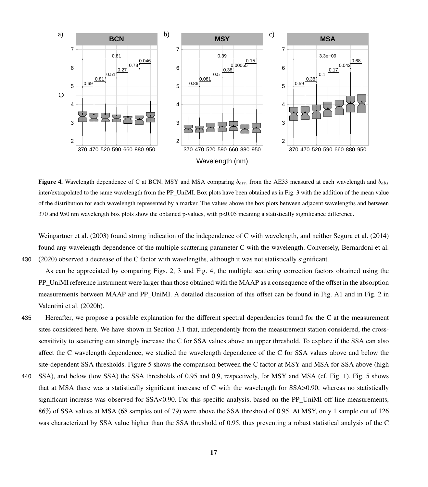<span id="page-16-0"></span>

Figure 4. Wavelength dependence of C at BCN, MSY and MSA comparing  $b_{atn}$  from the AE33 measured at each wavelength and  $b_{abs}$ inter/extrapolated to the same wavelength from the PP\_UniMI. Box plots have been obtained as in Fig. [3](#page-15-0) with the addition of the mean value of the distribution for each wavelength represented by a marker. The values above the box plots between adjacent wavelengths and between 370 and 950 nm wavelength box plots show the obtained p-values, with p<0.05 meaning a statistically significance difference.

[Weingartner et al.](#page-33-2) [\(2003\)](#page-33-2) found strong indication of the independence of C with wavelength, and neither [Segura et al.](#page-32-6) [\(2014\)](#page-32-6) found any wavelength dependence of the multiple scattering parameter C with the wavelength. Conversely, [Bernardoni et al.](#page-25-10) 430 [\(2020\)](#page-25-10) observed a decrease of the C factor with wavelengths, although it was not statistically significant.

As can be appreciated by comparing Figs. [2,](#page-13-0) [3](#page-15-0) and Fig. [4,](#page-16-0) the multiple scattering correction factors obtained using the PP\_UniMI reference instrument were larger than those obtained with the MAAP as a consequence of the offset in the absorption measurements between MAAP and PP\_UniMI. A detailed discussion of this offset can be found in Fig. A1 and in Fig. 2 in [Valentini et al.](#page-32-8) [\(2020b\)](#page-32-8).

- 435 Hereafter, we propose a possible explanation for the different spectral dependencies found for the C at the measurement sites considered here. We have shown in Section [3.1](#page-9-0) that, independently from the measurement station considered, the crosssensitivity to scattering can strongly increase the C for SSA values above an upper threshold. To explore if the SSA can also affect the C wavelength dependence, we studied the wavelength dependence of the C for SSA values above and below the site-dependent SSA thresholds. Figure [5](#page-17-0) shows the comparison between the C factor at MSY and MSA for SSA above (high
- 440 SSA), and below (low SSA) the SSA thresholds of 0.95 and 0.9, respectively, for MSY and MSA (cf. Fig. [1\)](#page-12-0). Fig. [5](#page-17-0) shows that at MSA there was a statistically significant increase of C with the wavelength for SSA>0.90, whereas no statistically significant increase was observed for SSA<0.90. For this specific analysis, based on the PP\_UniMI off-line measurements, 86% of SSA values at MSA (68 samples out of 79) were above the SSA threshold of 0.95. At MSY, only 1 sample out of 126 was characterized by SSA value higher than the SSA threshold of 0.95, thus preventing a robust statistical analysis of the C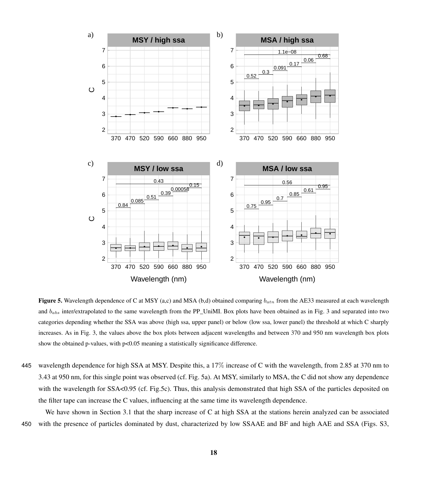<span id="page-17-0"></span>

Figure 5. Wavelength dependence of C at MSY (a,c) and MSA (b,d) obtained comparing  $b_{atn}$  from the AE33 measured at each wavelength and  $b_{abs}$  inter/extrapolated to the same wavelength from the PP\_UniMI. Box plots have been obtained as in Fig. [3](#page-15-0) and separated into two categories depending whether the SSA was above (high ssa, upper panel) or below (low ssa, lower panel) the threshold at which C sharply increases. As in Fig. [3,](#page-15-0) the values above the box plots between adjacent wavelengths and between 370 and 950 nm wavelength box plots show the obtained p-values, with  $p<0.05$  meaning a statistically significance difference.

445 wavelength dependence for high SSA at MSY. Despite this, a 17% increase of C with the wavelength, from 2.85 at 370 nm to 3.43 at 950 nm, for this single point was observed (cf. Fig. [5a](#page-17-0)). At MSY, similarly to MSA, the C did not show any dependence with the wavelength for SSA<0.95 (cf. Fig[.5c](#page-17-0)). Thus, this analysis demonstrated that high SSA of the particles deposited on the filter tape can increase the C values, influencing at the same time its wavelength dependence.

We have shown in Section [3.1](#page-9-0) that the sharp increase of C at high SSA at the stations herein analyzed can be associated 450 with the presence of particles dominated by dust, characterized by low SSAAE and BF and high AAE and SSA (Figs. S3,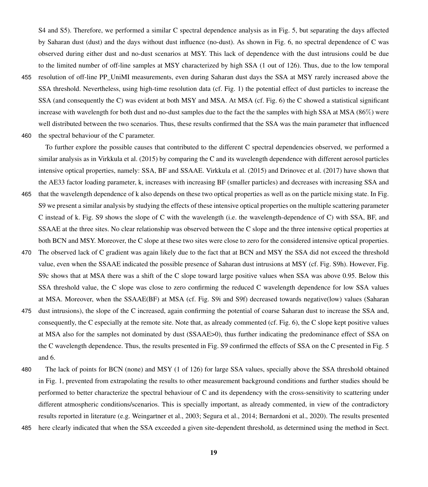S4 and S5). Therefore, we performed a similar C spectral dependence analysis as in Fig. [5,](#page-17-0) but separating the days affected by Saharan dust (dust) and the days without dust influence (no-dust). As shown in Fig. [6,](#page-19-0) no spectral dependence of C was observed during either dust and no-dust scenarios at MSY. This lack of dependence with the dust intrusions could be due to the limited number of off-line samples at MSY characterized by high SSA (1 out of 126). Thus, due to the low temporal

455 resolution of off-line PP\_UniMI measurements, even during Saharan dust days the SSA at MSY rarely increased above the SSA threshold. Nevertheless, using high-time resolution data (cf. Fig. [1\)](#page-12-0) the potential effect of dust particles to increase the SSA (and consequently the C) was evident at both MSY and MSA. At MSA (cf. Fig. [6\)](#page-19-0) the C showed a statistical significant increase with wavelength for both dust and no-dust samples due to the fact the the samples with high SSA at MSA (86%) were well distributed between the two scenarios. Thus, these results confirmed that the SSA was the main parameter that influenced

460 the spectral behaviour of the C parameter.

To further explore the possible causes that contributed to the different C spectral dependencies observed, we performed a similar analysis as in [Virkkula et al.](#page-33-3) [\(2015\)](#page-33-3) by comparing the C and its wavelength dependence with different aerosol particles intensive optical properties, namely: SSA, BF and SSAAE. [Virkkula et al.](#page-33-3) [\(2015\)](#page-33-3) and [Drinovec et al.](#page-27-2) [\(2017\)](#page-27-2) have shown that the AE33 factor loading parameter, k, increases with increasing BF (smaller particles) and decreases with increasing SSA and

- 465 that the wavelength dependence of k also depends on these two optical properties as well as on the particle mixing state. In Fig. S9 we present a similar analysis by studying the effects of these intensive optical properties on the multiple scattering parameter C instead of k. Fig. S9 shows the slope of C with the wavelength (i.e. the wavelength-dependence of C) with SSA, BF, and SSAAE at the three sites. No clear relationship was observed between the C slope and the three intensive optical properties at both BCN and MSY. Moreover, the C slope at these two sites were close to zero for the considered intensive optical properties.
- 470 The observed lack of C gradient was again likely due to the fact that at BCN and MSY the SSA did not exceed the threshold value, even when the SSAAE indicated the possible presence of Saharan dust intrusions at MSY (cf. Fig. S9h). However, Fig. S9c shows that at MSA there was a shift of the C slope toward large positive values when SSA was above 0.95. Below this SSA threshold value, the C slope was close to zero confirming the reduced C wavelength dependence for low SSA values at MSA. Moreover, when the SSAAE(BF) at MSA (cf. Fig. S9i and S9f) decreased towards negative(low) values (Saharan
- 475 dust intrusions), the slope of the C increased, again confirming the potential of coarse Saharan dust to increase the SSA and, consequently, the C especially at the remote site. Note that, as already commented (cf. Fig. [6\)](#page-19-0), the C slope kept positive values at MSA also for the samples not dominated by dust (SSAAE>0), thus further indicating the predominance effect of SSA on the C wavelength dependence. Thus, the results presented in Fig. S9 confirmed the effects of SSA on the C presented in Fig. [5](#page-17-0) and [6.](#page-19-0)
- 480 The lack of points for BCN (none) and MSY (1 of 126) for large SSA values, specially above the SSA threshold obtained in Fig. [1,](#page-12-0) prevented from extrapolating the results to other measurement background conditions and further studies should be performed to better characterize the spectral behaviour of C and its dependency with the cross-sensitivity to scattering under different atmospheric conditions/scenarios. This is specially important, as already commented, in view of the contradictory results reported in literature (e.g. [Weingartner et al., 2003;](#page-33-2) [Segura et al., 2014;](#page-32-6) [Bernardoni et al., 2020\)](#page-25-10). The results presented
- 485 here clearly indicated that when the SSA exceeded a given site-dependent threshold, as determined using the method in Sect.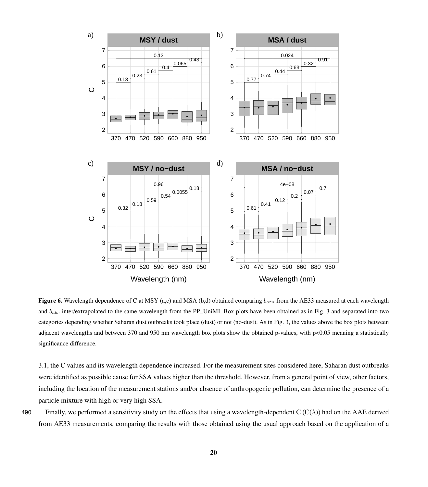<span id="page-19-0"></span>

Figure 6. Wavelength dependence of C at MSY (a,c) and MSA (b,d) obtained comparing  $b_{atn}$  from the AE33 measured at each wavelength and  $b_{abs}$  inter/extrapolated to the same wavelength from the PP\_UniMI. Box plots have been obtained as in Fig. [3](#page-15-0) and separated into two categories depending whether Saharan dust outbreaks took place (dust) or not (no-dust). As in Fig. [3,](#page-15-0) the values above the box plots between adjacent wavelengths and between 370 and 950 nm wavelength box plots show the obtained p-values, with p<0.05 meaning a statistically significance difference.

[3.1,](#page-9-0) the C values and its wavelength dependence increased. For the measurement sites considered here, Saharan dust outbreaks were identified as possible cause for SSA values higher than the threshold. However, from a general point of view, other factors, including the location of the measurement stations and/or absence of anthropogenic pollution, can determine the presence of a particle mixture with high or very high SSA.

490 Finally, we performed a sensitivity study on the effects that using a wavelength-dependent  $C(C(\lambda))$  had on the AAE derived from AE33 measurements, comparing the results with those obtained using the usual approach based on the application of a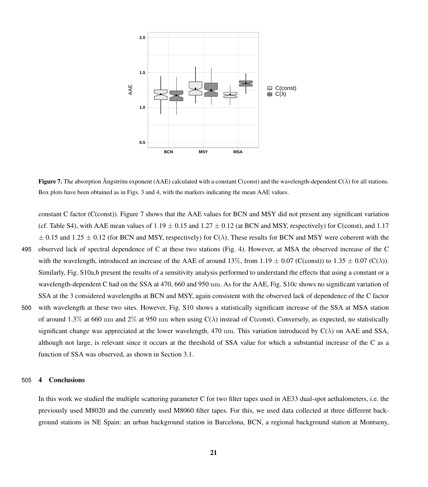<span id="page-20-0"></span>

**Figure 7.** The absorption Ångström exponent (AAE) calculated with a constant C(const) and the wavelength-dependent  $C(\lambda)$  for all stations. Box plots have been obtained as in Figs. [3](#page-15-0) and [4,](#page-16-0) with the markers indicating the mean AAE values.

constant C factor (C(const)). Figure [7](#page-20-0) shows that the AAE values for BCN and MSY did not present any significant variation (cf. Table S4), with AAE mean values of  $1.19 \pm 0.15$  and  $1.27 \pm 0.12$  (at BCN and MSY, respectively) for C(const), and 1.17  $\pm$  0.15 and 1.25  $\pm$  0.12 (for BCN and MSY, respectively) for C( $\lambda$ ). These results for BCN and MSY were coherent with the 495 observed lack of spectral dependence of C at these two stations (Fig. [4\)](#page-16-0). However, at MSA the observed increase of the C with the wavelength, introduced an increase of the AAE of around 13%, from 1.19  $\pm$  0.07 (C(const)) to 1.35  $\pm$  0.07 (C( $\lambda$ )). Similarly, Fig. S10a,b present the results of a sensitivity analysis performed to understand the effects that using a constant or a wavelength-dependent C had on the SSA at 470, 660 and 950 nm. As for the AAE, Fig. S10c shows no significant variation of SSA at the 3 considered wavelengths at BCN and MSY, again consistent with the observed lack of dependence of the C factor 500 with wavelength at these two sites. However, Fig. S10 shows a statistically significant increase of the SSA at MSA station of around 1.3% at 660 nm and 2% at 950 nm when using  $C(\lambda)$  instead of C(const). Conversely, as expected, no statistically significant change was appreciated at the lower wavelength, 470 nm. This variation introduced by  $C(\lambda)$  on AAE and SSA, although not large, is relevant since it occurs at the threshold of SSA value for which a substantial increase of the C as a function of SSA was observed, as shown in Section [3.1.](#page-9-0)

#### 505 4 Conclusions

In this work we studied the multiple scattering parameter C for two filter tapes used in AE33 dual-spot aethalometers, i.e. the previously used M8020 and the currently used M8060 filter tapes. For this, we used data collected at three different background stations in NE Spain: an urban background station in Barcelona, BCN, a regional background station at Montseny,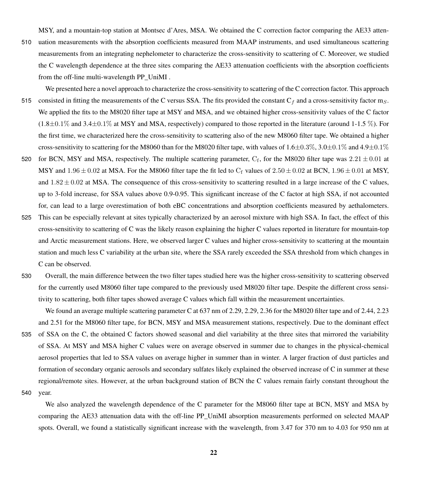MSY, and a mountain-top station at Montsec d'Ares, MSA. We obtained the C correction factor comparing the AE33 atten-510 uation measurements with the absorption coefficients measured from MAAP instruments, and used simultaneous scattering measurements from an integrating nephelometer to characterize the cross-sensitivity to scattering of C. Moreover, we studied the C wavelength dependence at the three sites comparing the AE33 attenuation coefficients with the absorption coefficients from the off-line multi-wavelength PP\_UniMI .

- We presented here a novel approach to characterize the cross-sensitivity to scattering of the C correction factor. This approach 515 consisted in fitting the measurements of the C versus SSA. The fits provided the constant  $C_f$  and a cross-sensitivity factor m<sub>S</sub>. We applied the fits to the M8020 filter tape at MSY and MSA, and we obtained higher cross-sensitivity values of the C factor  $(1.8\pm0.1\%$  and  $3.4\pm0.1\%$  at MSY and MSA, respectively) compared to those reported in the literature (around 1-1.5 %). For the first time, we characterized here the cross-sensitivity to scattering also of the new M8060 filter tape. We obtained a higher cross-sensitivity to scattering for the M8060 than for the M8020 filter tape, with values of  $1.6\pm0.3\%$ ,  $3.0\pm0.1\%$  and  $4.9\pm0.1\%$
- 520 for BCN, MSY and MSA, respectively. The multiple scattering parameter,  $C_f$ , for the M8020 filter tape was  $2.21 \pm 0.01$  at MSY and  $1.96 \pm 0.02$  at MSA. For the M8060 filter tape the fit led to C<sub>f</sub> values of  $2.50 \pm 0.02$  at BCN,  $1.96 \pm 0.01$  at MSY, and  $1.82 \pm 0.02$  at MSA. The consequence of this cross-sensitivity to scattering resulted in a large increase of the C values, up to 3-fold increase, for SSA values above 0.9-0.95. This significant increase of the C factor at high SSA, if not accounted for, can lead to a large overestimation of both eBC concentrations and absorption coefficients measured by aethalometers.
- 525 This can be especially relevant at sites typically characterized by an aerosol mixture with high SSA. In fact, the effect of this cross-sensitivity to scattering of C was the likely reason explaining the higher C values reported in literature for mountain-top and Arctic measurement stations. Here, we observed larger C values and higher cross-sensitivity to scattering at the mountain station and much less C variability at the urban site, where the SSA rarely exceeded the SSA threshold from which changes in C can be observed.
- 530 Overall, the main difference between the two filter tapes studied here was the higher cross-sensitivity to scattering observed for the currently used M8060 filter tape compared to the previously used M8020 filter tape. Despite the different cross sensitivity to scattering, both filter tapes showed average C values which fall within the measurement uncertainties.

We found an average multiple scattering parameter C at 637 nm of 2.29, 2.29, 2.36 for the M8020 filter tape and of 2.44, 2.23 and 2.51 for the M8060 filter tape, for BCN, MSY and MSA measurement stations, respectively. Due to the dominant effect 535 of SSA on the C, the obtained C factors showed seasonal and diel variability at the three sites that mirrored the variability of SSA. At MSY and MSA higher C values were on average observed in summer due to changes in the physical-chemical aerosol properties that led to SSA values on average higher in summer than in winter. A larger fraction of dust particles and formation of secondary organic aerosols and secondary sulfates likely explained the observed increase of C in summer at these regional/remote sites. However, at the urban background station of BCN the C values remain fairly constant throughout the 540 year.

We also analyzed the wavelength dependence of the C parameter for the M8060 filter tape at BCN, MSY and MSA by comparing the AE33 attenuation data with the off-line PP\_UniMI absorption measurements performed on selected MAAP spots. Overall, we found a statistically significant increase with the wavelength, from 3.47 for 370 nm to 4.03 for 950 nm at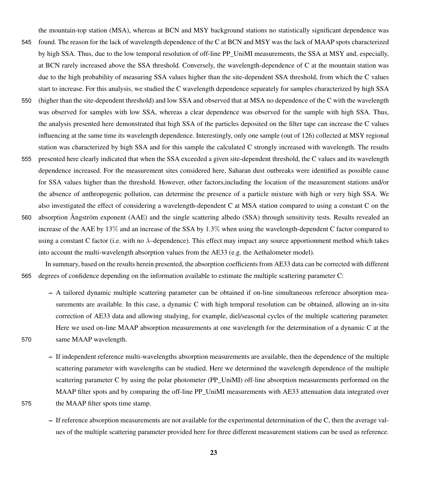the mountain-top station (MSA), whereas at BCN and MSY background stations no statistically significant dependence was 545 found. The reason for the lack of wavelength dependence of the C at BCN and MSY was the lack of MAAP spots characterized by high SSA. Thus, due to the low temporal resolution of off-line PP\_UniMI measurements, the SSA at MSY and, especially, at BCN rarely increased above the SSA threshold. Conversely, the wavelength-dependence of C at the mountain station was due to the high probability of measuring SSA values higher than the site-dependent SSA threshold, from which the C values start to increase. For this analysis, we studied the C wavelength dependence separately for samples characterized by high SSA

- 550 (higher than the site-dependent threshold) and low SSA and observed that at MSA no dependence of the C with the wavelength was observed for samples with low SSA, whereas a clear dependence was observed for the sample with high SSA. Thus, the analysis presented here demonstrated that high SSA of the particles deposited on the filter tape can increase the C values influencing at the same time its wavelength dependence. Interestingly, only one sample (out of 126) collected at MSY regional station was characterized by high SSA and for this sample the calculated C strongly increased with wavelength. The results
- 555 presented here clearly indicated that when the SSA exceeded a given site-dependent threshold, the C values and its wavelength dependence increased. For the measurement sites considered here, Saharan dust outbreaks were identified as possible cause for SSA values higher than the threshold. However, other factors,including the location of the measurement stations and/or the absence of anthropogenic pollution, can determine the presence of a particle mixture with high or very high SSA. We also investigated the effect of considering a wavelength-dependent C at MSA station compared to using a constant C on the
- 560 absorption Ångström exponent (AAE) and the single scattering albedo (SSA) through sensitivity tests. Results revealed an increase of the AAE by 13% and an increase of the SSA by 1.3% when using the wavelength-dependent C factor compared to using a constant C factor (i.e. with no  $\lambda$ -dependence). This effect may impact any source apportionment method which takes into account the multi-wavelength absorption values from the AE33 (e.g. the Aethalometer model).

In summary, based on the results herein presented, the absorption coefficients from AE33 data can be corrected with different 565 degrees of confidence depending on the information available to estimate the multiple scattering parameter C:

- A tailored dynamic multiple scattering parameter can be obtained if on-line simultaneous reference absorption measurements are available. In this case, a dynamic C with high temporal resolution can be obtained, allowing an in-situ correction of AE33 data and allowing studying, for example, diel/seasonal cycles of the multiple scattering parameter. Here we used on-line MAAP absorption measurements at one wavelength for the determination of a dynamic C at the 570 same MAAP wavelength.
- If independent reference multi-wavelengths absorption measurements are available, then the dependence of the multiple scattering parameter with wavelengths can be studied. Here we determined the wavelength dependence of the multiple scattering parameter C by using the polar photometer (PP\_UniMI) off-line absorption measurements performed on the MAAP filter spots and by comparing the off-line PP\_UniMI measurements with AE33 attenuation data integrated over 575 the MAAP filter spots time stamp.
	- If reference absorption measurements are not available for the experimental determination of the C, then the average values of the multiple scattering parameter provided here for three different measurement stations can be used as reference.
		- 23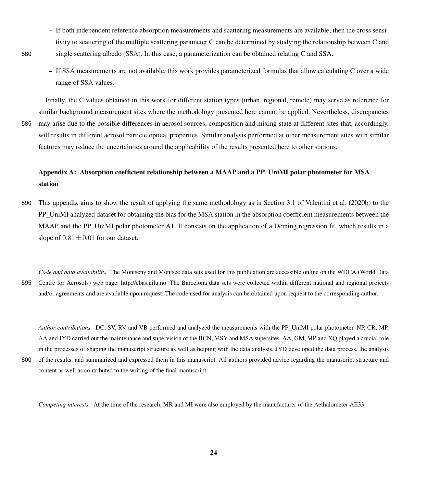- If both independent reference absorption measurements and scattering measurements are available, then the cross sensitivity to scattering of the multiple scattering parameter C can be determined by studying the relationship between C and 580 single scattering albedo (SSA). In this case, a parameterization can be obtained relating C and SSA.
	- If SSA measurements are not available, this work provides parameterized formulas that allow calculating C over a wide range of SSA values.

Finally, the C values obtained in this work for different station types (urban, regional, remote) may serve as reference for similar background measurement sites where the methodology presented here cannot be applied. Nevertheless, discrepancies 585 may arise due to the possible differences in aerosol sources, composition and mixing state at different sites that, accordingly, will results in different aerosol particle optical properties. Similar analysis performed at other measurement sites with similar features may reduce the uncertainties around the applicability of the results presented here to other stations.

# Appendix A: Absorption coefficient relationship between a MAAP and a PP\_UniMI polar photometer for MSA station

- 590 This appendix aims to show the result of applying the same methodology as in Section 3.1 of [Valentini et al.](#page-32-8) [\(2020b\)](#page-32-8) to the PP\_UniMI analyzed dataset for obtaining the bias for the MSA station in the absorption coefficient measurements between the MAAP and the PP\_UniMI polar photometer [A1.](#page-24-0) It consists on the application of a Deming regression fit, which results in a slope of  $0.81 \pm 0.01$  for our dataset.
- *Code and data availability.* The Montseny and Montsec data sets used for this publication are accessible online on the WDCA (World Data 595 Centre for Aerosols) web page: [http://ebas.nilu.no.](http://ebas.nilu.no) The Barcelona data sets were collected within different national and regional projects and/or agreements and are available upon request. The code used for analysis can be obtained upon request to the corresponding author.

*Author contributions.* DC, SV, RV and VB performed and analyzed the measurements with the PP\_UniMI polar photometer. NP, CR, MP, AA and JYD carried out the maintenance and supervision of the BCN, MSY and MSA supersites. AA, GM, MP and XQ played a crucial role in the processes of shaping the manuscript structure as well as helping with the data analysis. JYD developed the data process, the analysis 600 of the results, and summarized and expressed them in this manuscript. All authors provided advice regarding the manuscript structure and content as well as contributed to the writing of the final manuscript.

*Competing interests.* At the time of the research, MR and MI were also employed by the manufacturer of the Aethalometer AE33.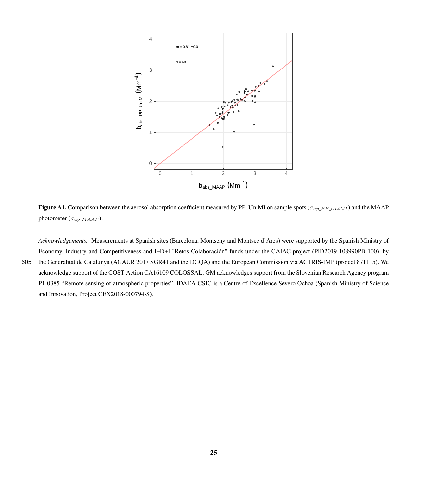<span id="page-24-0"></span>

**Figure A1.** Comparison between the aerosol absorption coefficient measured by PP\_UniMI on sample spots ( $\sigma_{ap\_PP}$   $U_{niM1}$ ) and the MAAP photometer ( $\sigma_{ap\_MAAP}$ ).

*Acknowledgements.* Measurements at Spanish sites (Barcelona, Montseny and Montsec d'Ares) were supported by the Spanish Ministry of Economy, Industry and Competitiveness and I+D+I "Retos Colaboración" funds under the CAIAC project (PID2019-108990PB-100), by 605 the Generalitat de Catalunya (AGAUR 2017 SGR41 and the DGQA) and the European Commission via ACTRIS-IMP (project 871115). We acknowledge support of the COST Action CA16109 COLOSSAL. GM acknowledges support from the Slovenian Research Agency program P1-0385 "Remote sensing of atmospheric properties". IDAEA-CSIC is a Centre of Excellence Severo Ochoa (Spanish Ministry of Science and Innovation, Project CEX2018-000794-S).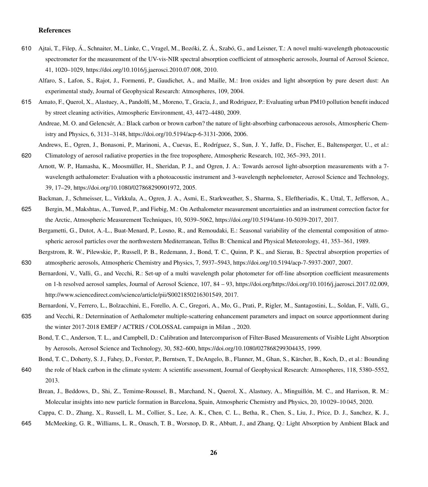### References

- <span id="page-25-5"></span><span id="page-25-1"></span>610 Ajtai, T., Filep, Á., Schnaiter, M., Linke, C., Vragel, M., Bozóki, Z. Á., Szabó, G., and Leisner, T.: A novel multi-wavelength photoacoustic spectrometer for the measurement of the UV-vis-NIR spectral absorption coefficient of atmospheric aerosols, Journal of Aerosol Science, 41, 1020–1029, https://doi.org[/10.1016/j.jaerosci.2010.07.008,](https://doi.org/10.1016/j.jaerosci.2010.07.008) 2010.
	- Alfaro, S., Lafon, S., Rajot, J., Formenti, P., Gaudichet, A., and Maille, M.: Iron oxides and light absorption by pure desert dust: An experimental study, Journal of Geophysical Research: Atmospheres, 109, 2004.
- <span id="page-25-12"></span><span id="page-25-2"></span>615 Amato, F., Querol, X., Alastuey, A., Pandolfi, M., Moreno, T., Gracia, J., and Rodriguez, P.: Evaluating urban PM10 pollution benefit induced by street cleaning activities, Atmospheric Environment, 43, 4472–4480, 2009.

Andreae, M. O. and Gelencsér, A.: Black carbon or brown carbon? the nature of light-absorbing carbonaceous aerosols, Atmospheric Chemistry and Physics, 6, 3131–3148, https://doi.org[/10.5194/acp-6-3131-2006,](https://doi.org/10.5194/acp-6-3131-2006) 2006.

- <span id="page-25-14"></span>Andrews, E., Ogren, J., Bonasoni, P., Marinoni, A., Cuevas, E., Rodríguez, S., Sun, J. Y., Jaffe, D., Fischer, E., Baltensperger, U., et al.: 620 Climatology of aerosol radiative properties in the free troposphere, Atmospheric Research, 102, 365–393, 2011.
- <span id="page-25-8"></span>Arnott, W. P., Hamasha, K., Moosmüller, H., Sheridan, P. J., and Ogren, J. A.: Towards aerosol light-absorption measurements with a 7 wavelength aethalometer: Evaluation with a photoacoustic instrument and 3-wavelength nephelometer, Aerosol Science and Technology, 39, 17–29, https://doi.org[/10.1080/027868290901972,](https://doi.org/10.1080/027868290901972) 2005.
	- Backman, J., Schmeisser, L., Virkkula, A., Ogren, J. A., Asmi, E., Starkweather, S., Sharma, S., Eleftheriadis, K., Uttal, T., Jefferson, A.,
- <span id="page-25-13"></span><span id="page-25-9"></span>625 Bergin, M., Makshtas, A., Tunved, P., and Fiebig, M.: On Aethalometer measurement uncertainties and an instrument correction factor for the Arctic, Atmospheric Measurement Techniques, 10, 5039–5062, https://doi.org[/10.5194/amt-10-5039-2017,](https://doi.org/10.5194/amt-10-5039-2017) 2017.
	- Bergametti, G., Dutot, A.-L., Buat-Menard, P., Losno, R., and Remoudaki, E.: Seasonal variability of the elemental composition of atmospheric aerosol particles over the northwestern Mediterranean, Tellus B: Chemical and Physical Meteorology, 41, 353–361, 1989.
- <span id="page-25-7"></span><span id="page-25-3"></span>Bergstrom, R. W., Pilewskie, P., Russell, P. B., Redemann, J., Bond, T. C., Quinn, P. K., and Sierau, B.: Spectral absorption properties of 630 atmospheric aerosols, Atmospheric Chemistry and Physics, 7, 5937–5943, https://doi.org[/10.5194/acp-7-5937-2007,](https://doi.org/10.5194/acp-7-5937-2007) 2007.
	- Bernardoni, V., Valli, G., and Vecchi, R.: Set-up of a multi wavelength polar photometer for off-line absorption coefficient measurements on 1-h resolved aerosol samples, Journal of Aerosol Science, 107, 84 – 93, https://doi.org[/https://doi.org/10.1016/j.jaerosci.2017.02.009,](https://doi.org/https://doi.org/10.1016/j.jaerosci.2017.02.009) [http://www.sciencedirect.com/science/article/pii/S0021850216301549,](http://www.sciencedirect.com/science/article/pii/S0021850216301549) 2017.
	- Bernardoni, V., Ferrero, L., Bolzacchini, E., Forello, A. C., Gregori, A., Mo, G., Prati, P., Rigler, M., Santagostini, L., Soldan, F., Valli, G.,
- <span id="page-25-10"></span><span id="page-25-6"></span>635 and Vecchi, R.: Determination of Aethalometer multiple-scattering enhancement parameters and impact on source apportionment during the winter 2017-2018 EMEP / ACTRIS / COLOSSAL campaign in Milan ., 2020.
	- Bond, T. C., Anderson, T. L., and Campbell, D.: Calibration and Intercomparison of Filter-Based Measurements of Visible Light Absorption by Aerosols, Aerosol Science and Technology, 30, 582–600, https://doi.org[/10.1080/027868299304435,](https://doi.org/10.1080/027868299304435) 1999.

<span id="page-25-0"></span>Bond, T. C., Doherty, S. J., Fahey, D., Forster, P., Berntsen, T., DeAngelo, B., Flanner, M., Ghan, S., Kärcher, B., Koch, D., et al.: Bounding

- <span id="page-25-11"></span>640 the role of black carbon in the climate system: A scientific assessment, Journal of Geophysical Research: Atmospheres, 118, 5380–5552, 2013.
	- Brean, J., Beddows, D., Shi, Z., Temime-Roussel, B., Marchand, N., Querol, X., Alastuey, A., Minguillón, M. C., and Harrison, R. M.: Molecular insights into new particle formation in Barcelona, Spain, Atmospheric Chemistry and Physics, 20, 10 029–10 045, 2020.

Cappa, C. D., Zhang, X., Russell, L. M., Collier, S., Lee, A. K., Chen, C. L., Betha, R., Chen, S., Liu, J., Price, D. J., Sanchez, K. J.,

<span id="page-25-4"></span>645 McMeeking, G. R., Williams, L. R., Onasch, T. B., Worsnop, D. R., Abbatt, J., and Zhang, Q.: Light Absorption by Ambient Black and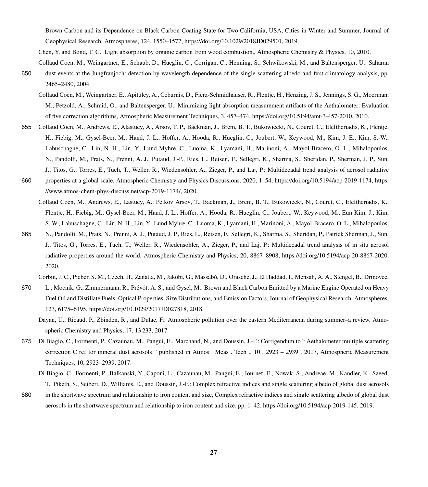Brown Carbon and its Dependence on Black Carbon Coating State for Two California, USA, Cities in Winter and Summer, Journal of Geophysical Research: Atmospheres, 124, 1550–1577, https://doi.org[/10.1029/2018JD029501,](https://doi.org/10.1029/2018JD029501) 2019.

Chen, Y. and Bond, T. C.: Light absorption by organic carbon from wood combustion., Atmospheric Chemistry & Physics, 10, 2010.

- <span id="page-26-6"></span><span id="page-26-4"></span><span id="page-26-1"></span>Collaud Coen, M., Weingartner, E., Schaub, D., Hueglin, C., Corrigan, C., Henning, S., Schwikowski, M., and Baltensperger, U.: Saharan 650 dust events at the Jungfraujoch: detection by wavelength dependence of the single scattering albedo and first climatology analysis, pp. 2465–2480, 2004.
	- Collaud Coen, M., Weingartner, E., Apituley, A., Ceburnis, D., Fierz-Schmidhauser, R., Flentje, H., Henzing, J. S., Jennings, S. G., Moerman, M., Petzold, A., Schmid, O., and Baltensperger, U.: Minimizing light absorption measurement artifacts of the Aethalometer: Evaluation of five correction algorithms, Atmospheric Measurement Techniques, 3, 457–474, https://doi.org[/10.5194/amt-3-457-2010,](https://doi.org/10.5194/amt-3-457-2010) 2010.
- <span id="page-26-0"></span>655 Collaud Coen, M., Andrews, E., Alastuey, A., Arsov, T. P., Backman, J., Brem, B. T., Bukowiecki, N., Couret, C., Eleftheriadis, K., Flentje, H., Fiebig, M., Gysel-Beer, M., Hand, J. L., Hoffer, A., Hooda, R., Hueglin, C., Joubert, W., Keywood, M., Kim, J. E., Kim, S.-W., Labuschagne, C., Lin, N.-H., Lin, Y., Lund Myhre, C., Luoma, K., Lyamani, H., Marinoni, A., Mayol-Bracero, O. L., Mihalopoulos, N., Pandolfi, M., Prats, N., Prenni, A. J., Putaud, J.-P., Ries, L., Reisen, F., Sellegri, K., Sharma, S., Sheridan, P., Sherman, J. P., Sun, J., Titos, G., Torres, E., Tuch, T., Weller, R., Wiedensohler, A., Zieger, P., and Laj, P.: Multidecadal trend analysis of aerosol radiative
- <span id="page-26-5"></span>660 properties at a global scale, Atmospheric Chemistry and Physics Discussions, 2020, 1–54, https://doi.org[/10.5194/acp-2019-1174,](https://doi.org/10.5194/acp-2019-1174) [https:](https://www.atmos-chem-phys-discuss.net/acp-2019-1174/) [//www.atmos-chem-phys-discuss.net/acp-2019-1174/,](https://www.atmos-chem-phys-discuss.net/acp-2019-1174/) 2020.
	- Collaud Coen, M., Andrews, E., Lastuey, A., Petkov Arsov, T., Backman, J., Brem, B. T., Bukowiecki, N., Couret, C., Eleftheriadis, K., Flentje, H., Fiebig, M., Gysel-Beer, M., Hand, J. L., Hoffer, A., Hooda, R., Hueglin, C., Joubert, W., Keywood, M., Eun Kim, J., Kim, S. W., Labuschagne, C., Lin, N. H., Lin, Y., Lund Myhre, C., Luoma, K., Lyamani, H., Marinoni, A., Mayol-Bracero, O. L., Mihalopoulos,
- 665 N., Pandolfi, M., Prats, N., Prenni, A. J., Putaud, J. P., Ries, L., Reisen, F., Sellegri, K., Sharma, S., Sheridan, P., Patrick Sherman, J., Sun, J., Titos, G., Torres, E., Tuch, T., Weller, R., Wiedensohler, A., Zieger, P., and Laj, P.: Multidecadal trend analysis of in situ aerosol radiative properties around the world, Atmospheric Chemistry and Physics, 20, 8867–8908, https://doi.org[/10.5194/acp-20-8867-2020,](https://doi.org/10.5194/acp-20-8867-2020) 2020.

Corbin, J. C., Pieber, S. M., Czech, H., Zanatta, M., Jakobi, G., Massabò, D., Orasche, J., El Haddad, I., Mensah, A. A., Stengel, B., Drinovec,

- <span id="page-26-2"></span>670 L., Mocnik, G., Zimmermann, R., Prévôt, A. S., and Gysel, M.: Brown and Black Carbon Emitted by a Marine Engine Operated on Heavy Fuel Oil and Distillate Fuels: Optical Properties, Size Distributions, and Emission Factors, Journal of Geophysical Research: Atmospheres, 123, 6175–6195, https://doi.org[/10.1029/2017JD027818,](https://doi.org/10.1029/2017JD027818) 2018.
	- Dayan, U., Ricaud, P., Zbinden, R., and Dulac, F.: Atmospheric pollution over the eastern Mediterranean during summer–a review, Atmospheric Chemistry and Physics, 17, 13 233, 2017.
- <span id="page-26-8"></span><span id="page-26-7"></span><span id="page-26-3"></span>675 Di Biagio, C., Formenti, P., Cazaunau, M., Pangui, E., Marchand, N., and Doussin, J.-F.: Corrigendum to " Aethalometer multiple scattering correction C ref for mineral dust aerosols " published in Atmos . Meas . Tech ., 10 , 2923 – 2939 , 2017, Atmospheric Measurement Techniques, 10, 2923–2939, 2017.
	- Di Biagio, C., Formenti, P., Balkanski, Y., Caponi, L., Cazaunau, M., Pangui, E., Journet, E., Nowak, S., Andreae, M., Kandler, K., Saeed, T., Piketh, S., Seibert, D., Williams, E., and Doussin, J.-F.: Complex refractive indices and single scattering albedo of global dust aerosols
- 680 in the shortwave spectrum and relationship to iron content and size, Complex refractive indices and single scattering albedo of global dust aerosols in the shortwave spectrum and relationship to iron content and size, pp. 1–42, https://doi.org[/10.5194/acp-2019-145,](https://doi.org/10.5194/acp-2019-145) 2019.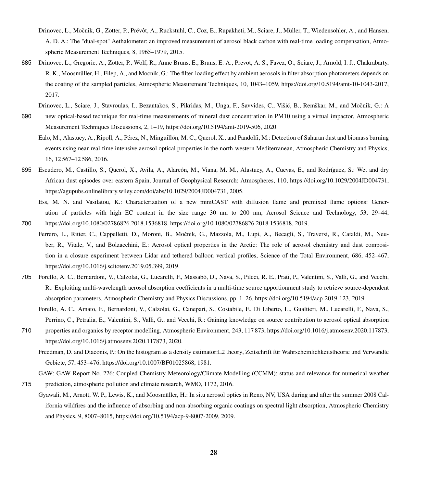- <span id="page-27-1"></span>Drinovec, L., Močnik, G., Zotter, P., Prévôt, A., Ruckstuhl, C., Coz, E., Rupakheti, M., Sciare, J., Müller, T., Wiedensohler, A., and Hansen, A. D. A.: The "dual-spot" Aethalometer: an improved measurement of aerosol black carbon with real-time loading compensation, Atmospheric Measurement Techniques, 8, 1965–1979, 2015.
- <span id="page-27-2"></span>685 Drinovec, L., Gregoric, A., Zotter, P., Wolf, R., Anne Bruns, E., Bruns, E. A., Prevot, A. S., Favez, O., Sciare, J., Arnold, I. J., Chakrabarty, R. K., Moosmüller, H., Filep, A., and Mocnik, G.: The filter-loading effect by ambient aerosols in filter absorption photometers depends on the coating of the sampled particles, Atmospheric Measurement Techniques, 10, 1043–1059, https://doi.org[/10.5194/amt-10-1043-2017,](https://doi.org/10.5194/amt-10-1043-2017) 2017.
	- Drinovec, L., Sciare, J., Stavroulas, I., Bezantakos, S., Pikridas, M., Unga, F., Savvides, C., Višić, B., Remškar, M., and Močnik, G.: A
- <span id="page-27-4"></span><span id="page-27-3"></span>690 new optical-based technique for real-time measurements of mineral dust concentration in PM10 using a virtual impactor, Atmospheric Measurement Techniques Discussions, 2, 1–19, https://doi.org[/10.5194/amt-2019-506,](https://doi.org/10.5194/amt-2019-506) 2020.
	- Ealo, M., Alastuey, A., Ripoll, A., Pérez, N., Minguillón, M. C., Querol, X., and Pandolfi, M.: Detection of Saharan dust and biomass burning events using near-real-time intensive aerosol optical properties in the north-western Mediterranean, Atmospheric Chemistry and Physics, 16, 12 567–12 586, 2016.
- <span id="page-27-9"></span>695 Escudero, M., Castillo, S., Querol, X., Avila, A., Alarcón, M., Viana, M. M., Alastuey, A., Cuevas, E., and Rodríguez, S.: Wet and dry African dust episodes over eastern Spain, Journal of Geophysical Research: Atmospheres, 110, https://doi.org[/10.1029/2004JD004731,](https://doi.org/10.1029/2004JD004731) [https://agupubs.onlinelibrary.wiley.com/doi/abs/10.1029/2004JD004731,](https://agupubs.onlinelibrary.wiley.com/doi/abs/10.1029/2004JD004731) 2005.
- <span id="page-27-0"></span>Ess, M. N. and Vasilatou, K.: Characterization of a new miniCAST with diffusion flame and premixed flame options: Generation of particles with high EC content in the size range 30 nm to 200 nm, Aerosol Science and Technology, 53, 29–44, 700 https://doi.org[/10.1080/02786826.2018.1536818, https://doi.org/10.1080/02786826.2018.1536818,](https://doi.org/10.1080/02786826.2018.1536818) 2019.
- <span id="page-27-8"></span>Ferrero, L., Ritter, C., Cappelletti, D., Moroni, B., Močnik, G., Mazzola, M., Lupi, A., Becagli, S., Traversi, R., Cataldi, M., Neuber, R., Vitale, V., and Bolzacchini, E.: Aerosol optical properties in the Arctic: The role of aerosol chemistry and dust composition in a closure experiment between Lidar and tethered balloon vertical profiles, Science of the Total Environment, 686, 452–467, https://doi.org[/10.1016/j.scitotenv.2019.05.399,](https://doi.org/10.1016/j.scitotenv.2019.05.399) 2019.
- <span id="page-27-11"></span><span id="page-27-10"></span>705 Forello, A. C., Bernardoni, V., Calzolai, G., Lucarelli, F., Massabò, D., Nava, S., Pileci, R. E., Prati, P., Valentini, S., Valli, G., and Vecchi, R.: Exploiting multi-wavelength aerosol absorption coefficients in a multi-time source apportionment study to retrieve source-dependent absorption parameters, Atmospheric Chemistry and Physics Discussions, pp. 1–26, https://doi.org[/10.5194/acp-2019-123,](https://doi.org/10.5194/acp-2019-123) 2019.
	- Forello, A. C., Amato, F., Bernardoni, V., Calzolai, G., Canepari, S., Costabile, F., Di Liberto, L., Gualtieri, M., Lucarelli, F., Nava, S., Perrino, C., Petralia, E., Valentini, S., Valli, G., and Vecchi, R.: Gaining knowledge on source contribution to aerosol optical absorption
- <span id="page-27-6"></span>710 properties and organics by receptor modelling, Atmospheric Environment, 243, 117 873, https://doi.org[/10.1016/j.atmosenv.2020.117873,](https://doi.org/10.1016/j.atmosenv.2020.117873) [https://doi.org/10.1016/j.atmosenv.2020.117873,](https://doi.org/10.1016/j.atmosenv.2020.117873) 2020.
	- Freedman, D. and Diaconis, P.: On the histogram as a density estimator:L2 theory, Zeitschrift für Wahrscheinlichkeitstheorie und Verwandte Gebiete, 57, 453–476, https://doi.org[/10.1007/BF01025868,](https://doi.org/10.1007/BF01025868) 1981.

<span id="page-27-5"></span>GAW: GAW Report No. 226: Coupled Chemistry-Meteorology/Climate Modelling (CCMM): status and relevance for numerical weather

- <span id="page-27-7"></span>715 prediction, atmospheric pollution and climate research, WMO, 1172, 2016.
- Gyawali, M., Arnott, W. P., Lewis, K., and Moosmüller, H.: In situ aerosol optics in Reno, NV, USA during and after the summer 2008 California wildfires and the influence of absorbing and non-absorbing organic coatings on spectral light absorption, Atmospheric Chemistry and Physics, 9, 8007–8015, https://doi.org[/10.5194/acp-9-8007-2009,](https://doi.org/10.5194/acp-9-8007-2009) 2009.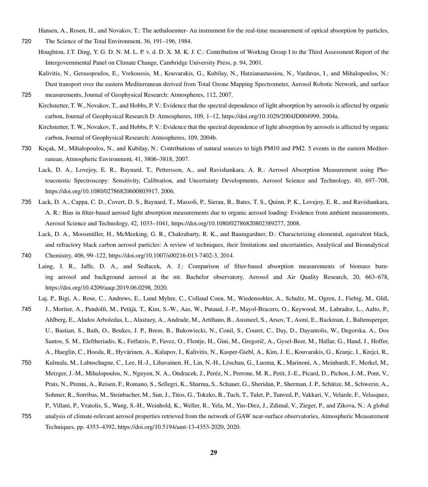Hansen, A., Rosen, H., and Novakov, T.: The aethaloemter- An instrument for the real-time measurement of optical absorption by particles,

- <span id="page-28-3"></span><span id="page-28-0"></span>720 The Science of the Total Environment, 36, 191–196, 1984.
	- Houghton, J.T. Ding, Y. G. D. N. M. L. P. v. d. D. X. M. K. J. C.: Contribution of Working Group I to the Third Assessment Report of the Intergovernmental Panel on Climate Change, Cambridge University Press, p. 94, 2001.
- <span id="page-28-9"></span><span id="page-28-1"></span>Kalivitis, N., Gerasopoulos, E., Vrekoussis, M., Kouvarakis, G., Kubilay, N., Hatzianastassiou, N., Vardavas, I., and Mihalopoulos, N.: Dust transport over the eastern Mediterranean derived from Total Ozone Mapping Spectrometer, Aerosol Robotic Network, and surface 725 measurements, Journal of Geophysical Research: Atmospheres, 112, 2007.
	- Kirchstetter, T. W., Novakov, T., and Hobbs, P. V.: Evidence that the spectral dependence of light absorption by aerosols is affected by organic carbon, Journal of Geophysical Research D: Atmospheres, 109, 1–12, https://doi.org[/10.1029/2004JD004999,](https://doi.org/10.1029/2004JD004999) 2004a.

<span id="page-28-2"></span>Kirchstetter, T. W., Novakov, T., and Hobbs, P. V.: Evidence that the spectral dependence of light absorption by aerosols is affected by organic carbon, Journal of Geophysical Research: Atmospheres, 109, 2004b.

- <span id="page-28-8"></span><span id="page-28-4"></span>730 Koçak, M., Mihalopoulos, N., and Kubilay, N.: Contributions of natural sources to high PM10 and PM2. 5 events in the eastern Mediterranean, Atmospheric Environment, 41, 3806–3818, 2007.
	- Lack, D. A., Lovejoy, E. R., Baynard, T., Pettersson, A., and Ravishankara, A. R.: Aerosol Absorption Measurement using Photoacoustic Spectroscopy: Sensitivity, Calibration, and Uncertainty Developments, Aerosol Science and Technology, 40, 697–708, https://doi.org[/10.1080/02786820600803917,](https://doi.org/10.1080/02786820600803917) 2006.
- <span id="page-28-6"></span>735 Lack, D. A., Cappa, C. D., Covert, D. S., Baynard, T., Massoli, P., Sierau, B., Bates, T. S., Quinn, P. K., Lovejoy, E. R., and Ravishankara, A. R.: Bias in filter-based aerosol light absorption measurements due to organic aerosol loading: Evidence from ambient measurements, Aerosol Science and Technology, 42, 1033–1041, https://doi.org[/10.1080/02786820802389277,](https://doi.org/10.1080/02786820802389277) 2008.
- <span id="page-28-5"></span>Lack, D. A., Moosmüller, H., McMeeking, G. R., Chakrabarty, R. K., and Baumgardner, D.: Characterizing elemental, equivalent black, and refractory black carbon aerosol particles: A review of techniques, their limitations and uncertainties, Analytical and Bioanalytical 740 Chemistry, 406, 99–122, https://doi.org[/10.1007/s00216-013-7402-3,](https://doi.org/10.1007/s00216-013-7402-3) 2014.
- <span id="page-28-7"></span>Laing, J. R., Jaffe, D. A., and Sedlacek, A. J.: Comparison of filter-based absorption measurements of biomass burning aerosol and background aerosol at the mt. Bachelor observatory, Aerosol and Air Quality Research, 20, 663–678, https://doi.org[/10.4209/aaqr.2019.06.0298,](https://doi.org/10.4209/aaqr.2019.06.0298) 2020.

Laj, P., Bigi, A., Rose, C., Andrews, E., Lund Myhre, C., Collaud Coen, M., Wiedensohler, A., Schultz, M., Ogren, J., Fiebig, M., Gliß,

- <span id="page-28-10"></span>745 J., Mortier, A., Pandolfi, M., Petäjä, T., Kim, S.-W., Aas, W., Putaud, J.-P., Mayol-Bracero, O., Keywood, M., Labrador, L., Aalto, P., Ahlberg, E., Alados Arboledas, L., Alastuey, A., Andrade, M., Artíñano, B., Ausmeel, S., Arsov, T., Asmi, E., Backman, J., Baltensperger, U., Bastian, S., Bath, O., Beukes, J. P., Brem, B., Bukowiecki, N., Conil, S., Couret, C., Day, D., Dayantolis, W., Degorska, A., Dos Santos, S. M., Eleftheriadis, K., Fetfatzis, P., Favez, O., Flentje, H., Gini, M., Gregorič, A., Gysel-Beer, M., Hallar, G., Hand, J., Hoffer, A., Hueglin, C., Hooda, R., Hyvärinen, A., Kalapov, I., Kalivitis, N., Kasper-Giebl, A., Kim, J. E., Kouvarakis, G., Kranjc, I., Krejci, R.,
- 750 Kulmala, M., Labuschagne, C., Lee, H.-J., Lihavainen, H., Lin, N.-H., Löschau, G., Luoma, K., Marinoni, A., Meinhardt, F., Merkel, M., Metzger, J.-M., Mihalopoulos, N., Nguyen, N. A., Ondracek, J., Peréz, N., Perrone, M. R., Petit, J.-E., Picard, D., Pichon, J.-M., Pont, V., Prats, N., Prenni, A., Reisen, F., Romano, S., Sellegri, K., Sharma, S., Schauer, G., Sheridan, P., Sherman, J. P., Schütze, M., Schwerin, A., Sohmer, R., Sorribas, M., Steinbacher, M., Sun, J., Titos, G., Tokzko, B., Tuch, T., Tulet, P., Tunved, P., Vakkari, V., Velarde, F., Velasquez, P., Villani, P., Vratolis, S., Wang, S.-H., Weinhold, K., Weller, R., Yela, M., Yus-Diez, J., Zdimal, V., Zieger, P., and Zikova, N.: A global 755 analysis of climate-relevant aerosol properties retrieved from the network of GAW near-surface observatories, Atmospheric Measurement Techniques, pp. 4353–4392, https://doi.org[/10.5194/amt-13-4353-2020,](https://doi.org/10.5194/amt-13-4353-2020) 2020.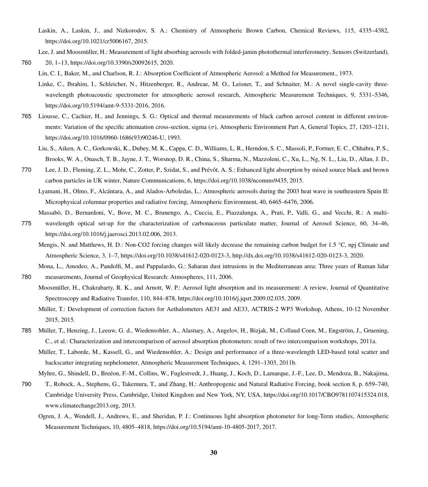<span id="page-29-2"></span>Laskin, A., Laskin, J., and Nizkorodov, S. A.: Chemistry of Atmospheric Brown Carbon, Chemical Reviews, 115, 4335–4382, https://doi.org[/10.1021/cr5006167,](https://doi.org/10.1021/cr5006167) 2015.

Lee, J. and Moosmüller, H.: Measurement of light absorbing aerosols with folded-jamin photothermal interferometry, Sensors (Switzerland),

- <span id="page-29-7"></span><span id="page-29-6"></span><span id="page-29-4"></span>760 20, 1–13, https://doi.org[/10.3390/s20092615,](https://doi.org/10.3390/s20092615) 2020. Lin, C. I., Baker, M., and Charlson, R. J.: Absorption Coefficient of Atmospheric Aerosol: a Method for Measurement., 1973.
	- Linke, C., Ibrahim, I., Schleicher, N., Hitzenberger, R., Andreae, M. O., Leisner, T., and Schnaiter, M.: A novel single-cavity threewavelength photoacoustic spectrometer for atmospheric aerosol research, Atmospheric Measurement Techniques, 9, 5331–5346, https://doi.org[/10.5194/amt-9-5331-2016,](https://doi.org/10.5194/amt-9-5331-2016) 2016.
- <span id="page-29-10"></span><span id="page-29-1"></span>765 Liousse, C., Cachier, H., and Jennings, S. G.: Optical and thermal measurements of black carbon aerosol content in different environments: Variation of the specific attenuation cross-section, sigma (σ), Atmospheric Environment Part A, General Topics, 27, 1203–1211, https://doi.org[/10.1016/0960-1686\(93\)90246-U,](https://doi.org/10.1016/0960-1686(93)90246-U) 1993.
	- Liu, S., Aiken, A. C., Gorkowski, K., Dubey, M. K., Cappa, C. D., Williams, L. R., Herndon, S. C., Massoli, P., Fortner, E. C., Chhabra, P. S., Brooks, W. A., Onasch, T. B., Jayne, J. T., Worsnop, D. R., China, S., Sharma, N., Mazzoleni, C., Xu, L., Ng, N. L., Liu, D., Allan, J. D.,
- <span id="page-29-14"></span>770 Lee, J. D., Fleming, Z. L., Mohr, C., Zotter, P., Szidat, S., and Prévôt, A. S.: Enhanced light absorption by mixed source black and brown carbon particles in UK winter, Nature Communications, 6, https://doi.org[/10.1038/ncomms9435,](https://doi.org/10.1038/ncomms9435) 2015.
	- Lyamani, H., Olmo, F., Alcántara, A., and Alados-Arboledas, L.: Atmospheric aerosols during the 2003 heat wave in southeastern Spain II: Microphysical columnar properties and radiative forcing, Atmospheric Environment, 40, 6465–6476, 2006.
	- Massabò, D., Bernardoni, V., Bove, M. C., Brunengo, A., Cuccia, E., Piazzalunga, A., Prati, P., Valli, G., and Vecchi, R.: A multi-
- <span id="page-29-8"></span><span id="page-29-3"></span>775 wavelength optical set-up for the characterization of carbonaceous particulate matter, Journal of Aerosol Science, 60, 34–46, https://doi.org[/10.1016/j.jaerosci.2013.02.006,](https://doi.org/10.1016/j.jaerosci.2013.02.006) 2013.
	- Mengis, N. and Matthews, H. D.: Non-CO2 forcing changes will likely decrease the remaining carbon budget for 1.5 °C, npj Climate and Atmospheric Science, 3, 1–7, https://doi.org[/10.1038/s41612-020-0123-3,](https://doi.org/10.1038/s41612-020-0123-3) [http://dx.doi.org/10.1038/s41612-020-0123-3,](http://dx.doi.org/10.1038/s41612-020-0123-3) 2020.

<span id="page-29-15"></span>Mona, L., Amodeo, A., Pandolfi, M., and Pappalardo, G.: Saharan dust intrusions in the Mediterranean area: Three years of Raman lidar

<span id="page-29-5"></span>780 measurements, Journal of Geophysical Research: Atmospheres, 111, 2006.

- Moosmüller, H., Chakrabarty, R. K., and Arnott, W. P.: Aerosol light absorption and its measurement: A review, Journal of Quantitative Spectroscopy and Radiative Transfer, 110, 844–878, https://doi.org[/10.1016/j.jqsrt.2009.02.035,](https://doi.org/10.1016/j.jqsrt.2009.02.035) 2009.
- <span id="page-29-11"></span>Müller, T.: Development of correction factors for Aethalometers AE31 and AE33, ACTRIS-2 WP3 Workshop, Athens, 10-12 November 2015, 2015.
- <span id="page-29-13"></span><span id="page-29-12"></span>785 Müller, T., Henzing, J., Leeuw, G. d., Wiedensohler, A., Alastuey, A., Angelov, H., Bizjak, M., Collaud Coen, M., Engström, J., Gruening, C., et al.: Characterization and intercomparison of aerosol absorption photometers: result of two intercomparison workshops, 2011a.
	- Müller, T., Laborde, M., Kassell, G., and Wiedensohler, A.: Design and performance of a three-wavelength LED-based total scatter and backscatter integrating nephelometer, Atmospheric Measurement Techniques, 4, 1291–1303, 2011b.

<span id="page-29-0"></span>Myhre, G., Shindell, D., Breéon, F.-M., Collins, W., Fuglestvedt, J., Huang, J., Koch, D., Lamarque, J.-F., Lee, D., Mendoza, B., Nakajima,

- <span id="page-29-9"></span>790 T., Robock, A., Stephens, G., Takemura, T., and Zhang, H.: Anthropogenic and Natural Radiative Forcing, book section 8, p. 659–740, Cambridge University Press, Cambridge, United Kingdom and New York, NY, USA, https://doi.org[/10.1017/CBO9781107415324.018,](https://doi.org/10.1017/CBO9781107415324.018) [www.climatechange2013.org,](www.climatechange2013.org) 2013.
	- Ogren, J. A., Wendell, J., Andrews, E., and Sheridan, P. J.: Continuous light absorption photometer for long-Term studies, Atmospheric Measurement Techniques, 10, 4805–4818, https://doi.org[/10.5194/amt-10-4805-2017,](https://doi.org/10.5194/amt-10-4805-2017) 2017.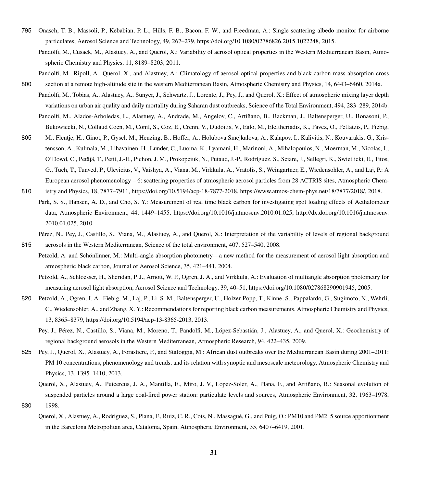- <span id="page-30-8"></span><span id="page-30-0"></span>795 Onasch, T. B., Massoli, P., Kebabian, P. L., Hills, F. B., Bacon, F. W., and Freedman, A.: Single scattering albedo monitor for airborne particulates, Aerosol Science and Technology, 49, 267–279, https://doi.org[/10.1080/02786826.2015.1022248,](https://doi.org/10.1080/02786826.2015.1022248) 2015.
	- Pandolfi, M., Cusack, M., Alastuey, A., and Querol, X.: Variability of aerosol optical properties in the Western Mediterranean Basin, Atmospheric Chemistry and Physics, 11, 8189–8203, 2011.
	- Pandolfi, M., Ripoll, A., Querol, X., and Alastuey, A.: Climatology of aerosol optical properties and black carbon mass absorption cross
- <span id="page-30-12"></span><span id="page-30-10"></span><span id="page-30-9"></span>800 section at a remote high-altitude site in the western Mediterranean Basin, Atmospheric Chemistry and Physics, 14, 6443–6460, 2014a.
	- Pandolfi, M., Tobias, A., Alastuey, A., Sunyer, J., Schwartz, J., Lorente, J., Pey, J., and Querol, X.: Effect of atmospheric mixing layer depth variations on urban air quality and daily mortality during Saharan dust outbreaks, Science of the Total Environment, 494, 283–289, 2014b.
		- Pandolfi, M., Alados-Arboledas, L., Alastuey, A., Andrade, M., Angelov, C., Artiñano, B., Backman, J., Baltensperger, U., Bonasoni, P., Bukowiecki, N., Collaud Coen, M., Conil, S., Coz, E., Crenn, V., Dudoitis, V., Ealo, M., Eleftheriadis, K., Favez, O., Fetfatzis, P., Fiebig,
- 805 M., Flentje, H., Ginot, P., Gysel, M., Henzing, B., Hoffer, A., Holubova Smejkalova, A., Kalapov, I., Kalivitis, N., Kouvarakis, G., Kristensson, A., Kulmala, M., Lihavainen, H., Lunder, C., Luoma, K., Lyamani, H., Marinoni, A., Mihalopoulos, N., Moerman, M., Nicolas, J., O'Dowd, C., Petäjä, T., Petit, J.-E., Pichon, J. M., Prokopciuk, N., Putaud, J.-P., Rodríguez, S., Sciare, J., Sellegri, K., Swietlicki, E., Titos, G., Tuch, T., Tunved, P., Ulevicius, V., Vaishya, A., Viana, M., Virkkula, A., Vratolis, S., Weingartner, E., Wiedensohler, A., and Laj, P.: A European aerosol phenomenology – 6: scattering properties of atmospheric aerosol particles from 28 ACTRIS sites, Atmospheric Chem-
- <span id="page-30-3"></span>810 istry and Physics, 18, 7877–7911, https://doi.org[/10.5194/acp-18-7877-2018,](https://doi.org/10.5194/acp-18-7877-2018) [https://www.atmos-chem-phys.net/18/7877/2018/,](https://www.atmos-chem-phys.net/18/7877/2018/) 2018.
	- Park, S. S., Hansen, A. D., and Cho, S. Y.: Measurement of real time black carbon for investigating spot loading effects of Aethalometer data, Atmospheric Environment, 44, 1449–1455, https://doi.org[/10.1016/j.atmosenv.2010.01.025,](https://doi.org/10.1016/j.atmosenv.2010.01.025) [http://dx.doi.org/10.1016/j.atmosenv.](http://dx.doi.org/10.1016/j.atmosenv.2010.01.025) [2010.01.025,](http://dx.doi.org/10.1016/j.atmosenv.2010.01.025) 2010.
- <span id="page-30-6"></span>Pérez, N., Pey, J., Castillo, S., Viana, M., Alastuey, A., and Querol, X.: Interpretation of the variability of levels of regional background 815 aerosols in the Western Mediterranean, Science of the total environment, 407, 527–540, 2008.
- <span id="page-30-4"></span><span id="page-30-1"></span>Petzold, A. and Schönlinner, M.: Multi-angle absorption photometry—a new method for the measurement of aerosol light absorption and atmospheric black carbon, Journal of Aerosol Science, 35, 421–441, 2004.
	- Petzold, A., Schloesser, H., Sheridan, P. J., Arnott, W. P., Ogren, J. A., and Virkkula, A.: Evaluation of multiangle absorption photometry for measuring aerosol light absorption, Aerosol Science and Technology, 39, 40–51, https://doi.org[/10.1080/027868290901945,](https://doi.org/10.1080/027868290901945) 2005.
- <span id="page-30-7"></span><span id="page-30-2"></span>820 Petzold, A., Ogren, J. A., Fiebig, M., Laj, P., Li, S. M., Baltensperger, U., Holzer-Popp, T., Kinne, S., Pappalardo, G., Sugimoto, N., Wehrli, C., Wiedensohler, A., and Zhang, X. Y.: Recommendations for reporting black carbon measurements, Atmospheric Chemistry and Physics, 13, 8365–8379, https://doi.org[/10.5194/acp-13-8365-2013,](https://doi.org/10.5194/acp-13-8365-2013) 2013.
	- Pey, J., Pérez, N., Castillo, S., Viana, M., Moreno, T., Pandolfi, M., López-Sebastián, J., Alastuey, A., and Querol, X.: Geochemistry of regional background aerosols in the Western Mediterranean, Atmospheric Research, 94, 422–435, 2009.
- <span id="page-30-13"></span>825 Pey, J., Querol, X., Alastuey, A., Forastiere, F., and Stafoggia, M.: African dust outbreaks over the Mediterranean Basin during 2001–2011: PM 10 concentrations, phenomenology and trends, and its relation with synoptic and mesoscale meteorology, Atmospheric Chemistry and Physics, 13, 1395–1410, 2013.
- <span id="page-30-11"></span><span id="page-30-5"></span>Querol, X., Alastuey, A., Puicercus, J. A., Mantilla, E., Miro, J. V., Lopez-Soler, A., Plana, F., and Artiñano, B.: Seasonal evolution of suspended particles around a large coal-fired power station: particulate levels and sources, Atmospheric Environment, 32, 1963–1978, 830 1998.
	- Querol, X., Alastuey, A., Rodriguez, S., Plana, F., Ruiz, C. R., Cots, N., Massagué, G., and Puig, O.: PM10 and PM2. 5 source apportionment in the Barcelona Metropolitan area, Catalonia, Spain, Atmospheric Environment, 35, 6407–6419, 2001.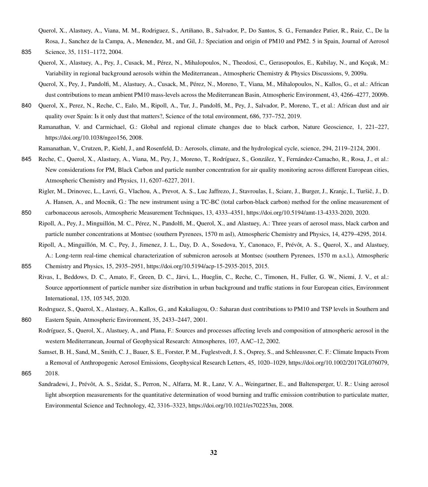- <span id="page-31-10"></span>Querol, X., Alastuey, A., Viana, M. M., Rodriguez, S., Artíñano, B., Salvador, P., Do Santos, S. G., Fernandez Patier, R., Ruiz, C., De la Rosa, J., Sanchez de la Campa, A., Menendez, M., and Gil, J.: Speciation and origin of PM10 and PM2. 5 in Spain, Journal of Aerosol 835 Science, 35, 1151–1172, 2004.
- <span id="page-31-11"></span><span id="page-31-8"></span>
	- Querol, X., Alastuey, A., Pey, J., Cusack, M., Pérez, N., Mihalopoulos, N., Theodosi, C., Gerasopoulos, E., Kubilay, N., and Koçak, M.: Variability in regional background aerosols within the Mediterranean., Atmospheric Chemistry & Physics Discussions, 9, 2009a.
	- Querol, X., Pey, J., Pandolfi, M., Alastuey, A., Cusack, M., Pérez, N., Moreno, T., Viana, M., Mihalopoulos, N., Kallos, G., et al.: African dust contributions to mean ambient PM10 mass-levels across the Mediterranean Basin, Atmospheric Environment, 43, 4266–4277, 2009b.
- <span id="page-31-9"></span><span id="page-31-2"></span>840 Querol, X., Perez, N., Reche, C., Ealo, M., Ripoll, A., Tur, J., Pandolfi, M., Pey, J., Salvador, P., Moreno, T., et al.: African dust and air quality over Spain: Is it only dust that matters?, Science of the total environment, 686, 737–752, 2019.
	- Ramanathan, V. and Carmichael, G.: Global and regional climate changes due to black carbon, Nature Geoscience, 1, 221–227, https://doi.org[/10.1038/ngeo156,](https://doi.org/10.1038/ngeo156) 2008.

<span id="page-31-1"></span>Ramanathan, V., Crutzen, P., Kiehl, J., and Rosenfeld, D.: Aerosols, climate, and the hydrological cycle, science, 294, 2119–2124, 2001.

- <span id="page-31-12"></span><span id="page-31-4"></span>845 Reche, C., Querol, X., Alastuey, A., Viana, M., Pey, J., Moreno, T., Rodríguez, S., González, Y., Fernández-Camacho, R., Rosa, J., et al.: New considerations for PM, Black Carbon and particle number concentration for air quality monitoring across different European cities, Atmospheric Chemistry and Physics, 11, 6207–6227, 2011.
	- Rigler, M., Drinovec, L., Lavri, G., Vlachou, A., Prevot, A. S., Luc Jaffrezo, J., Stavroulas, I., Sciare, J., Burger, J., Kranjc, I., Turšič, J., D. A. Hansen, A., and Mocnik, G.: The new instrument using a TC-BC (total carbon-black carbon) method for the online measurement of
- <span id="page-31-13"></span><span id="page-31-5"></span>850 carbonaceous aerosols, Atmospheric Measurement Techniques, 13, 4333–4351, https://doi.org[/10.5194/amt-13-4333-2020,](https://doi.org/10.5194/amt-13-4333-2020) 2020.
	- Ripoll, A., Pey, J., Minguillón, M. C., Pérez, N., Pandolfi, M., Querol, X., and Alastuey, A.: Three years of aerosol mass, black carbon and particle number concentrations at Montsec (southern Pyrenees, 1570 m asl), Atmospheric Chemistry and Physics, 14, 4279–4295, 2014.
	- Ripoll, A., Minguillón, M. C., Pey, J., Jimenez, J. L., Day, D. A., Sosedova, Y., Canonaco, F., Prévôt, A. S., Querol, X., and Alastuey, A.: Long-term real-time chemical characterization of submicron aerosols at Montsec (southern Pyrenees, 1570 m a.s.l.), Atmospheric

<span id="page-31-7"></span>855 Chemistry and Physics, 15, 2935–2951, https://doi.org[/10.5194/acp-15-2935-2015,](https://doi.org/10.5194/acp-15-2935-2015) 2015.

- Rivas, I., Beddows, D. C., Amato, F., Green, D. C., Järvi, L., Hueglin, C., Reche, C., Timonen, H., Fuller, G. W., Niemi, J. V., et al.: Source apportionment of particle number size distribution in urban background and traffic stations in four European cities, Environment International, 135, 105 345, 2020.
- <span id="page-31-3"></span>Rodrıguez, S., Querol, X., Alastuey, A., Kallos, G., and Kakaliagou, O.: Saharan dust contributions to PM10 and TSP levels in Southern and 860 Eastern Spain, Atmospheric Environment, 35, 2433–2447, 2001.
- <span id="page-31-6"></span>Rodríguez, S., Querol, X., Alastuey, A., and Plana, F.: Sources and processes affecting levels and composition of atmospheric aerosol in the western Mediterranean, Journal of Geophysical Research: Atmospheres, 107, AAC–12, 2002.
- <span id="page-31-0"></span>Samset, B. H., Sand, M., Smith, C. J., Bauer, S. E., Forster, P. M., Fuglestvedt, J. S., Osprey, S., and Schleussner, C. F.: Climate Impacts From a Removal of Anthropogenic Aerosol Emissions, Geophysical Research Letters, 45, 1020–1029, https://doi.org[/10.1002/2017GL076079,](https://doi.org/10.1002/2017GL076079) 865 2018.

<span id="page-31-14"></span>

Sandradewi, J., Prévôt, A. S., Szidat, S., Perron, N., Alfarra, M. R., Lanz, V. A., Weingartner, E., and Baltensperger, U. R.: Using aerosol light absorption measurements for the quantitative determination of wood burning and traffic emission contribution to particulate matter, Environmental Science and Technology, 42, 3316–3323, https://doi.org[/10.1021/es702253m,](https://doi.org/10.1021/es702253m) 2008.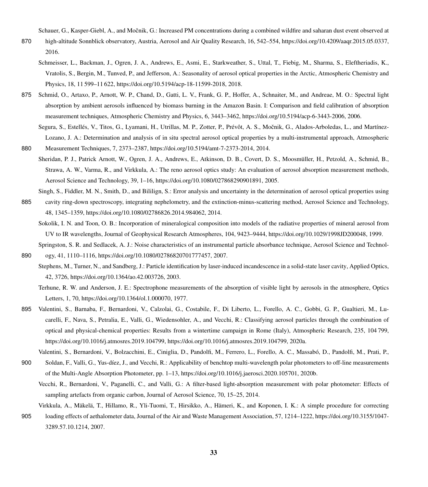Schauer, G., Kasper-Giebl, A., and Močnik, G.: Increased PM concentrations during a combined wildfire and saharan dust event observed at

- <span id="page-32-12"></span><span id="page-32-10"></span>870 high-altitude Sonnblick observatory, Austria, Aerosol and Air Quality Research, 16, 542–554, https://doi.org[/10.4209/aaqr.2015.05.0337,](https://doi.org/10.4209/aaqr.2015.05.0337) 2016.
	- Schmeisser, L., Backman, J., Ogren, J. A., Andrews, E., Asmi, E., Starkweather, S., Uttal, T., Fiebig, M., Sharma, S., Eleftheriadis, K., Vratolis, S., Bergin, M., Tunved, P., and Jefferson, A.: Seasonality of aerosol optical properties in the Arctic, Atmospheric Chemistry and Physics, 18, 11 599–11 622, https://doi.org[/10.5194/acp-18-11599-2018,](https://doi.org/10.5194/acp-18-11599-2018) 2018.
- <span id="page-32-4"></span>875 Schmid, O., Artaxo, P., Arnott, W. P., Chand, D., Gatti, L. V., Frank, G. P., Hoffer, A., Schnaiter, M., and Andreae, M. O.: Spectral light absorption by ambient aerosols influenced by biomass burning in the Amazon Basin. I: Comparison and field calibration of absorption measurement techniques, Atmospheric Chemistry and Physics, 6, 3443–3462, https://doi.org[/10.5194/acp-6-3443-2006,](https://doi.org/10.5194/acp-6-3443-2006) 2006.
- <span id="page-32-6"></span>Segura, S., Estellés, V., Titos, G., Lyamani, H., Utrillas, M. P., Zotter, P., Prévôt, A. S., Močnik, G., Alados-Arboledas, L., and Martínez-Lozano, J. A.: Determination and analysis of in situ spectral aerosol optical properties by a multi-instrumental approach, Atmospheric 880 Measurement Techniques, 7, 2373–2387, https://doi.org[/10.5194/amt-7-2373-2014,](https://doi.org/10.5194/amt-7-2373-2014) 2014.
- <span id="page-32-9"></span>Sheridan, P. J., Patrick Arnott, W., Ogren, J. A., Andrews, E., Atkinson, D. B., Covert, D. S., Moosmüller, H., Petzold, A., Schmid, B., Strawa, A. W., Varma, R., and Virkkula, A.: The reno aerosol optics study: An evaluation of aerosol absorption measurement methods, Aerosol Science and Technology, 39, 1–16, https://doi.org[/10.1080/027868290901891,](https://doi.org/10.1080/027868290901891) 2005.
- <span id="page-32-3"></span>Singh, S., Fiddler, M. N., Smith, D., and Bililign, S.: Error analysis and uncertainty in the determination of aerosol optical properties using 885 cavity ring-down spectroscopy, integrating nephelometry, and the extinction-minus-scattering method, Aerosol Science and Technology,
	- Sokolik, I. N. and Toon, O. B.: Incorporation of mineralogical composition into models of the radiative properties of mineral aerosol from UV to IR wavelengths, Journal of Geophysical Research Atmospheres, 104, 9423–9444, https://doi.org[/10.1029/1998JD200048,](https://doi.org/10.1029/1998JD200048) 1999.
	- Springston, S. R. and Sedlacek, A. J.: Noise characteristics of an instrumental particle absorbance technique, Aerosol Science and Technol-

<span id="page-32-11"></span><span id="page-32-1"></span>890 ogy, 41, 1110–1116, https://doi.org[/10.1080/02786820701777457,](https://doi.org/10.1080/02786820701777457) 2007.

<span id="page-32-13"></span>48, 1345–1359, https://doi.org[/10.1080/02786826.2014.984062,](https://doi.org/10.1080/02786826.2014.984062) 2014.

Stephens, M., Turner, N., and Sandberg, J.: Particle identification by laser-induced incandescence in a solid-state laser cavity, Applied Optics, 42, 3726, https://doi.org[/10.1364/ao.42.003726,](https://doi.org/10.1364/ao.42.003726) 2003.

- <span id="page-32-7"></span>895 Valentini, S., Barnaba, F., Bernardoni, V., Calzolai, G., Costabile, F., Di Liberto, L., Forello, A. C., Gobbi, G. P., Gualtieri, M., Lucarelli, F., Nava, S., Petralia, E., Valli, G., Wiedensohler, A., and Vecchi, R.: Classifying aerosol particles through the combination of optical and physical-chemical properties: Results from a wintertime campaign in Rome (Italy), Atmospheric Research, 235, 104 799, https://doi.org[/10.1016/j.atmosres.2019.104799, https://doi.org/10.1016/j.atmosres.2019.104799,](https://doi.org/10.1016/j.atmosres.2019.104799) 2020a.
	- Valentini, S., Bernardoni, V., Bolzacchini, E., Ciniglia, D., Pandolfi, M., Ferrero, L., Forello, A. C., Massabó, D., Pandolfi, M., Prati, P.,
- <span id="page-32-8"></span><span id="page-32-2"></span>900 Soldan, F., Valli, G., Yus-díez, J., and Vecchi, R.: Applicability of benchtop multi-wavelength polar photometers to off-line measurements of the Multi-Angle Absorption Photometer, pp. 1–13, https://doi.org[/10.1016/j.jaerosci.2020.105701,](https://doi.org/10.1016/j.jaerosci.2020.105701) 2020b.
	- Vecchi, R., Bernardoni, V., Paganelli, C., and Valli, G.: A filter-based light-absorption measurement with polar photometer: Effects of sampling artefacts from organic carbon, Journal of Aerosol Science, 70, 15–25, 2014.
- <span id="page-32-5"></span>Virkkula, A., Mäkelä, T., Hillamo, R., Yli-Tuomi, T., Hirsikko, A., Hämeri, K., and Koponen, I. K.: A simple procedure for correcting 905 loading effects of aethalometer data, Journal of the Air and Waste Management Association, 57, 1214–1222, https://doi.org[/10.3155/1047-](https://doi.org/10.3155/1047-3289.57.10.1214) [3289.57.10.1214,](https://doi.org/10.3155/1047-3289.57.10.1214) 2007.

<span id="page-32-0"></span>Terhune, R. W. and Anderson, J. E.: Spectrophone measurements of the absorption of visible light by aerosols in the atmosphere, Optics Letters, 1, 70, https://doi.org[/10.1364/ol.1.000070,](https://doi.org/10.1364/ol.1.000070) 1977.